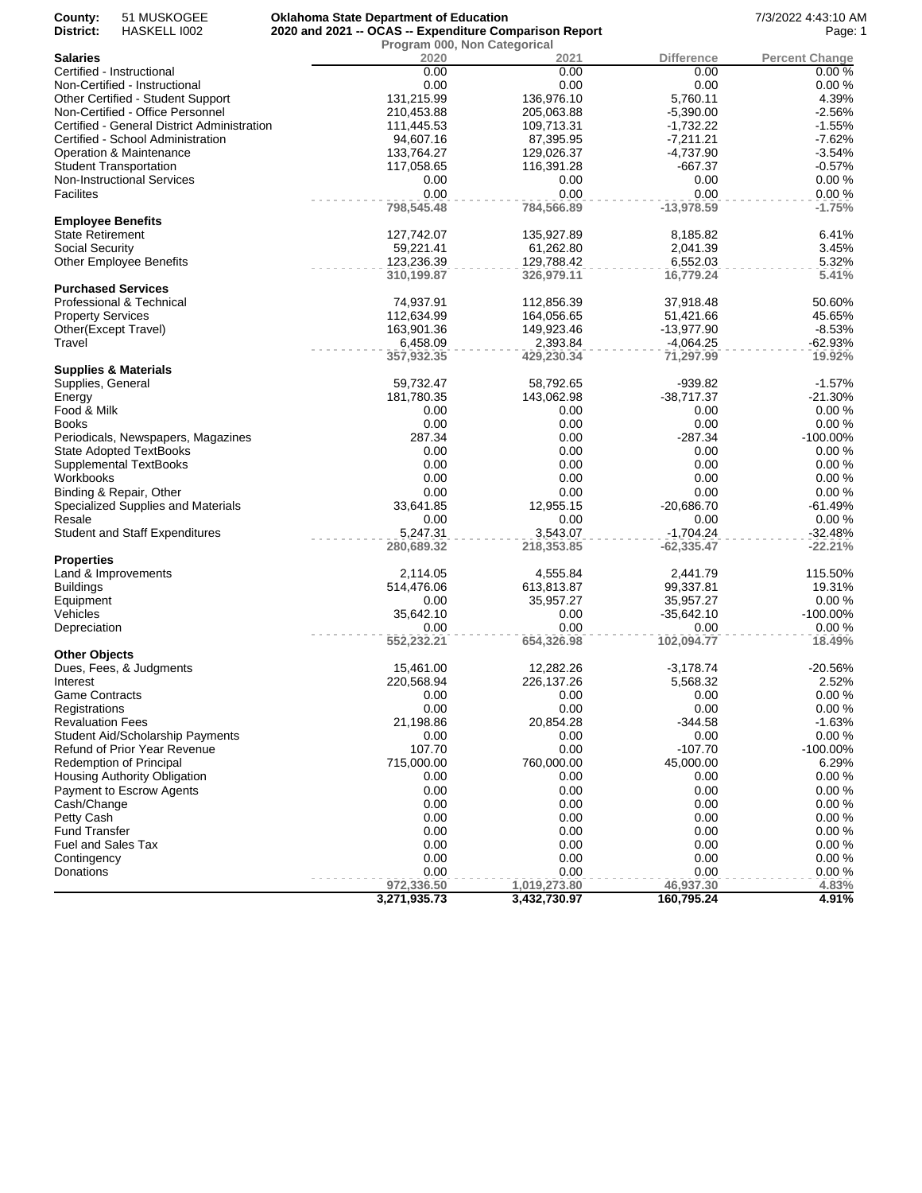| 51 MUSKOGEE<br>County:<br>District:<br>HASKELL 1002 | <b>Oklahoma State Department of Education</b><br>2020 and 2021 -- OCAS -- Expenditure Comparison Report |                                      |                   | 7/3/2022 4:43:10 AM<br>Page: 1 |
|-----------------------------------------------------|---------------------------------------------------------------------------------------------------------|--------------------------------------|-------------------|--------------------------------|
| <b>Salaries</b>                                     | 2020                                                                                                    | Program 000, Non Categorical<br>2021 | <b>Difference</b> | <b>Percent Change</b>          |
| Certified - Instructional                           | 0.00                                                                                                    | 0.00                                 | 0.00              | 0.00%                          |
| Non-Certified - Instructional                       | 0.00                                                                                                    | 0.00                                 | 0.00              | 0.00%                          |
| Other Certified - Student Support                   | 131,215.99                                                                                              | 136,976.10                           | 5.760.11          | 4.39%                          |
| Non-Certified - Office Personnel                    | 210,453.88                                                                                              | 205,063.88                           | $-5,390.00$       | $-2.56%$                       |
| Certified - General District Administration         | 111,445.53                                                                                              | 109,713.31                           | $-1,732.22$       | $-1.55%$                       |
| Certified - School Administration                   | 94,607.16                                                                                               | 87,395.95                            | $-7,211.21$       | $-7.62%$                       |
| Operation & Maintenance                             | 133,764.27                                                                                              | 129,026.37                           | $-4,737.90$       | $-3.54%$                       |
| <b>Student Transportation</b>                       | 117,058.65                                                                                              | 116,391.28                           | -667.37           | $-0.57%$                       |
| <b>Non-Instructional Services</b>                   | 0.00                                                                                                    | 0.00                                 | 0.00              | 0.00%                          |
| <b>Facilites</b>                                    | 0.00                                                                                                    | 0.00                                 | 0.00              | 0.00%                          |
|                                                     | 798,545.48                                                                                              | 784,566.89                           | $-13,978.59$      | $-1.75%$                       |
| <b>Employee Benefits</b>                            |                                                                                                         |                                      |                   |                                |
| <b>State Retirement</b>                             | 127,742.07                                                                                              | 135,927.89                           | 8,185.82          | 6.41%                          |
| Social Security                                     | 59,221.41                                                                                               | 61,262.80                            | 2,041.39          | 3.45%                          |
| <b>Other Employee Benefits</b>                      | 123,236.39                                                                                              | 129,788.42                           | 6,552.03          | 5.32%                          |
|                                                     | 310,199.87                                                                                              | 326,979.11                           | 16,779.24         | 5.41%                          |
| <b>Purchased Services</b>                           |                                                                                                         |                                      |                   |                                |
| Professional & Technical                            | 74,937.91                                                                                               | 112,856.39                           | 37,918.48         | 50.60%                         |
| <b>Property Services</b>                            | 112,634.99                                                                                              | 164,056.65                           | 51,421.66         | 45.65%                         |
| Other(Except Travel)                                | 163,901.36                                                                                              | 149,923.46                           | -13,977.90        | $-8.53%$                       |
| Travel                                              | 6,458.09                                                                                                | 2,393.84                             | $-4,064.25$       | $-62.93%$<br>19.92%            |
| <b>Supplies &amp; Materials</b>                     | 357,932.35                                                                                              | 429,230.34                           | 71,297.99         |                                |
| Supplies, General                                   | 59,732.47                                                                                               | 58,792.65                            | $-939.82$         | $-1.57%$                       |
| Energy                                              | 181,780.35                                                                                              | 143,062.98                           | $-38,717.37$      | $-21.30%$                      |
| Food & Milk                                         | 0.00                                                                                                    | 0.00                                 | 0.00              | 0.00%                          |
| <b>Books</b>                                        | 0.00                                                                                                    | 0.00                                 | 0.00              | 0.00%                          |
| Periodicals, Newspapers, Magazines                  | 287.34                                                                                                  | 0.00                                 | $-287.34$         | $-100.00\%$                    |
| <b>State Adopted TextBooks</b>                      | 0.00                                                                                                    | 0.00                                 | 0.00              | 0.00%                          |
| <b>Supplemental TextBooks</b>                       | 0.00                                                                                                    | 0.00                                 | 0.00              | 0.00%                          |
| Workbooks                                           | 0.00                                                                                                    | 0.00                                 | 0.00              | 0.00%                          |
| Binding & Repair, Other                             | 0.00                                                                                                    | 0.00                                 | 0.00              | 0.00%                          |
| Specialized Supplies and Materials                  | 33,641.85                                                                                               | 12,955.15                            | $-20,686.70$      | $-61.49%$                      |
| Resale                                              | 0.00                                                                                                    | 0.00                                 | 0.00              | 0.00%                          |
| <b>Student and Staff Expenditures</b>               | 5,247.31                                                                                                | 3,543.07                             | $-1,704.24$       | $-32.48%$                      |
|                                                     | 280,689.32                                                                                              | 218,353.85                           | $-62,335.47$      | $-22.21%$                      |
| <b>Properties</b>                                   |                                                                                                         |                                      |                   |                                |
| Land & Improvements                                 | 2,114.05                                                                                                | 4,555.84                             | 2,441.79          | 115.50%                        |
| <b>Buildings</b>                                    | 514,476.06                                                                                              | 613,813.87                           | 99,337.81         | 19.31%                         |
| Equipment                                           | 0.00                                                                                                    | 35,957.27                            | 35,957.27         | 0.00%                          |
| Vehicles                                            | 35,642.10                                                                                               | 0.00                                 | $-35,642.10$      | $-100.00\%$                    |
| Depreciation                                        | 0.00                                                                                                    | 0.00                                 | 0.00              | 0.00%                          |
|                                                     | 552,232.21                                                                                              | 654,326.98                           | 102,094.77        | 18.49%                         |
| <b>Other Objects</b>                                |                                                                                                         | 12,282.26                            |                   | $-20.56%$                      |
| Dues, Fees, & Judgments                             | 15,461.00                                                                                               |                                      | $-3,178.74$       |                                |
| Interest<br><b>Game Contracts</b>                   | 220,568.94<br>0.00                                                                                      | 226,137.26<br>0.00                   | 5,568.32<br>0.00  | 2.52%<br>0.00%                 |
| Registrations                                       | 0.00                                                                                                    | 0.00                                 | 0.00              | 0.00%                          |
| <b>Revaluation Fees</b>                             | 21,198.86                                                                                               | 20,854.28                            | $-344.58$         | $-1.63%$                       |
| Student Aid/Scholarship Payments                    | 0.00                                                                                                    | 0.00                                 | 0.00              | 0.00%                          |
| Refund of Prior Year Revenue                        | 107.70                                                                                                  | 0.00                                 | $-107.70$         | $-100.00\%$                    |
| Redemption of Principal                             | 715,000.00                                                                                              | 760,000.00                           | 45,000.00         | 6.29%                          |
| Housing Authority Obligation                        | 0.00                                                                                                    | 0.00                                 | 0.00              | 0.00%                          |
| Payment to Escrow Agents                            | 0.00                                                                                                    | 0.00                                 | 0.00              | 0.00%                          |
| Cash/Change                                         | 0.00                                                                                                    | 0.00                                 | 0.00              | 0.00%                          |
| Petty Cash                                          | 0.00                                                                                                    | 0.00                                 | 0.00              | 0.00%                          |
| <b>Fund Transfer</b>                                | 0.00                                                                                                    | 0.00                                 | 0.00              | 0.00%                          |
| <b>Fuel and Sales Tax</b>                           | 0.00                                                                                                    | 0.00                                 | 0.00              | 0.00%                          |
| Contingency                                         | 0.00                                                                                                    | 0.00                                 | 0.00              | 0.00%                          |
| Donations                                           | 0.00                                                                                                    | 0.00                                 | 0.00              | 0.00%                          |
|                                                     | 972,336.50                                                                                              | 1,019,273.80                         | 46,937.30         | 4.83%                          |
|                                                     | 3,271,935.73                                                                                            | 3,432,730.97                         | 160,795.24        | 4.91%                          |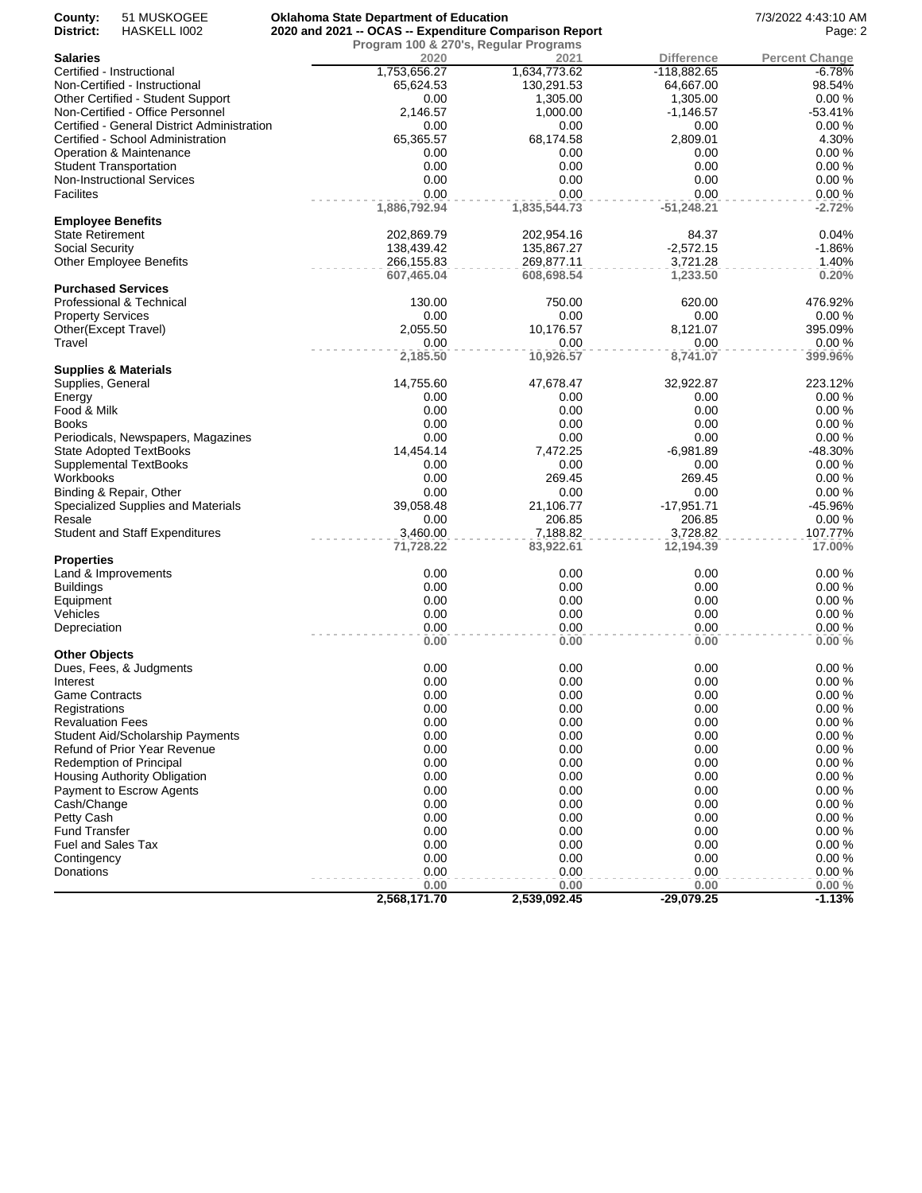| County:<br>District:     | 51 MUSKOGEE<br>HASKELL 1002                 | <b>Oklahoma State Department of Education</b><br>2020 and 2021 -- OCAS -- Expenditure Comparison Report | 7/3/2022 4:43:10 AM<br>Page: 2 |                   |                       |
|--------------------------|---------------------------------------------|---------------------------------------------------------------------------------------------------------|--------------------------------|-------------------|-----------------------|
|                          |                                             | Program 100 & 270's, Regular Programs                                                                   |                                |                   |                       |
| <b>Salaries</b>          |                                             | 2020                                                                                                    | 2021                           | <b>Difference</b> | <b>Percent Change</b> |
|                          | Certified - Instructional                   | 1,753,656.27                                                                                            | 1,634,773.62                   | $-118,882.65$     | $-6.78%$              |
|                          | Non-Certified - Instructional               | 65,624.53                                                                                               | 130,291.53                     | 64,667.00         | 98.54%                |
|                          | Other Certified - Student Support           | 0.00                                                                                                    | 1,305.00                       | 1,305.00          | 0.00%                 |
|                          | Non-Certified - Office Personnel            | 2,146.57                                                                                                | 1,000.00                       | $-1,146.57$       | $-53.41%$             |
|                          | Certified - General District Administration | 0.00                                                                                                    | 0.00                           | 0.00              | 0.00%                 |
|                          | Certified - School Administration           | 65,365.57                                                                                               | 68,174.58                      | 2,809.01          | 4.30%                 |
|                          | Operation & Maintenance                     | 0.00                                                                                                    | 0.00                           | 0.00              | 0.00%                 |
|                          | <b>Student Transportation</b>               | 0.00                                                                                                    | 0.00                           | 0.00              | 0.00%                 |
|                          | <b>Non-Instructional Services</b>           | 0.00                                                                                                    | 0.00                           | 0.00              | 0.00%                 |
| <b>Facilites</b>         |                                             | 0.00                                                                                                    | 0.00                           | 0.00              | 0.00%                 |
| <b>Employee Benefits</b> |                                             | 1,886,792.94                                                                                            | 1,835,544.73                   | $-51,248.21$      | $-2.72%$              |
| <b>State Retirement</b>  |                                             | 202,869.79                                                                                              | 202,954.16                     | 84.37             | 0.04%                 |
| <b>Social Security</b>   |                                             | 138,439.42                                                                                              | 135,867.27                     | $-2,572.15$       | $-1.86%$              |
|                          | <b>Other Employee Benefits</b>              | 266,155.83                                                                                              | 269,877.11                     | 3,721.28          | 1.40%                 |
|                          |                                             | 607,465.04                                                                                              | 608,698.54                     | 1,233.50          | 0.20%                 |
|                          | <b>Purchased Services</b>                   |                                                                                                         |                                |                   |                       |
|                          | Professional & Technical                    | 130.00                                                                                                  | 750.00                         | 620.00            | 476.92%               |
| <b>Property Services</b> |                                             | 0.00                                                                                                    | 0.00                           | 0.00              | 0.00%                 |
|                          | Other(Except Travel)                        | 2,055.50                                                                                                | 10,176.57                      | 8,121.07          | 395.09%               |
| Travel                   |                                             | 0.00                                                                                                    | 0.00                           | 0.00              | 0.00%                 |
|                          |                                             | 2,185.50                                                                                                | 10,926.57                      | 8,741.07          | 399.96%               |
|                          | <b>Supplies &amp; Materials</b>             |                                                                                                         |                                |                   |                       |
| Supplies, General        |                                             | 14,755.60                                                                                               | 47,678.47                      | 32,922.87         | 223.12%               |
| Energy                   |                                             | 0.00                                                                                                    | 0.00                           | 0.00              | 0.00%                 |
| Food & Milk              |                                             | 0.00                                                                                                    | 0.00                           | 0.00              | 0.00%                 |
| Books                    |                                             | 0.00                                                                                                    | 0.00                           | 0.00              | 0.00%                 |
|                          | Periodicals, Newspapers, Magazines          | 0.00                                                                                                    | 0.00                           | 0.00              | 0.00%                 |
|                          | <b>State Adopted TextBooks</b>              | 14,454.14                                                                                               | 7,472.25                       | $-6,981.89$       | -48.30%               |
|                          | Supplemental TextBooks                      | 0.00                                                                                                    | 0.00                           | 0.00              | 0.00%                 |
| Workbooks                |                                             | 0.00                                                                                                    | 269.45                         | 269.45            | 0.00%                 |
|                          | Binding & Repair, Other                     | 0.00                                                                                                    | 0.00                           | 0.00              | 0.00%                 |
|                          | Specialized Supplies and Materials          | 39,058.48                                                                                               | 21,106.77                      | $-17,951.71$      | -45.96%               |
| Resale                   |                                             | 0.00                                                                                                    | 206.85                         | 206.85            | 0.00%                 |
|                          | <b>Student and Staff Expenditures</b>       | 3,460.00                                                                                                | 7,188.82                       | 3,728.82          | 107.77%               |
|                          |                                             | 71,728.22                                                                                               | 83,922.61                      | 12,194.39         | 17.00%                |
| <b>Properties</b>        | Land & Improvements                         | 0.00                                                                                                    | 0.00                           | 0.00              | 0.00%                 |
| <b>Buildings</b>         |                                             | 0.00                                                                                                    | 0.00                           | 0.00              | 0.00%                 |
| Equipment                |                                             | 0.00                                                                                                    | 0.00                           | 0.00              | 0.00%                 |
| Vehicles                 |                                             | 0.00                                                                                                    | 0.00                           | 0.00              | 0.00%                 |
| Depreciation             |                                             | 0.00                                                                                                    | 0.00                           | 0.00              | 0.00%                 |
|                          |                                             | 0.00                                                                                                    | 0.00                           | 0.00              | 0.00%                 |
| <b>Other Objects</b>     |                                             |                                                                                                         |                                |                   |                       |
|                          | Dues, Fees, & Judgments                     | 0.00                                                                                                    | 0.00                           | 0.00              | 0.00%                 |
| Interest                 |                                             | 0.00                                                                                                    | 0.00                           | 0.00              | 0.00%                 |
| <b>Game Contracts</b>    |                                             | 0.00                                                                                                    | 0.00                           | 0.00              | 0.00%                 |
| Registrations            |                                             | 0.00                                                                                                    | 0.00                           | 0.00              | 0.00%                 |
| <b>Revaluation Fees</b>  |                                             | 0.00                                                                                                    | 0.00                           | 0.00              | 0.00%                 |
|                          | <b>Student Aid/Scholarship Payments</b>     | 0.00                                                                                                    | 0.00                           | 0.00              | 0.00%                 |
|                          | Refund of Prior Year Revenue                | 0.00                                                                                                    | 0.00                           | 0.00              | 0.00%                 |
|                          | <b>Redemption of Principal</b>              | 0.00                                                                                                    | 0.00                           | 0.00              | 0.00%                 |
|                          | Housing Authority Obligation                | 0.00                                                                                                    | 0.00                           | 0.00              | 0.00%                 |
|                          | Payment to Escrow Agents                    | 0.00                                                                                                    | 0.00                           | 0.00              | 0.00%                 |
| Cash/Change              |                                             | 0.00                                                                                                    | 0.00                           | 0.00              | 0.00%                 |
| Petty Cash               |                                             | 0.00                                                                                                    | 0.00                           | 0.00              | 0.00%                 |
| <b>Fund Transfer</b>     |                                             | 0.00                                                                                                    | 0.00                           | 0.00              | 0.00%                 |
| Fuel and Sales Tax       |                                             | 0.00                                                                                                    | 0.00                           | 0.00              | 0.00%                 |
| Contingency              |                                             | 0.00                                                                                                    | 0.00                           | 0.00              | 0.00%                 |
| Donations                |                                             | 0.00                                                                                                    | 0.00                           | 0.00              | 0.00%                 |
|                          |                                             | 0.00                                                                                                    | 0.00                           | 0.00              | 0.00%                 |
|                          |                                             | 2,568,171.70                                                                                            | 2,539,092.45                   | $-29,079.25$      | $-1.13%$              |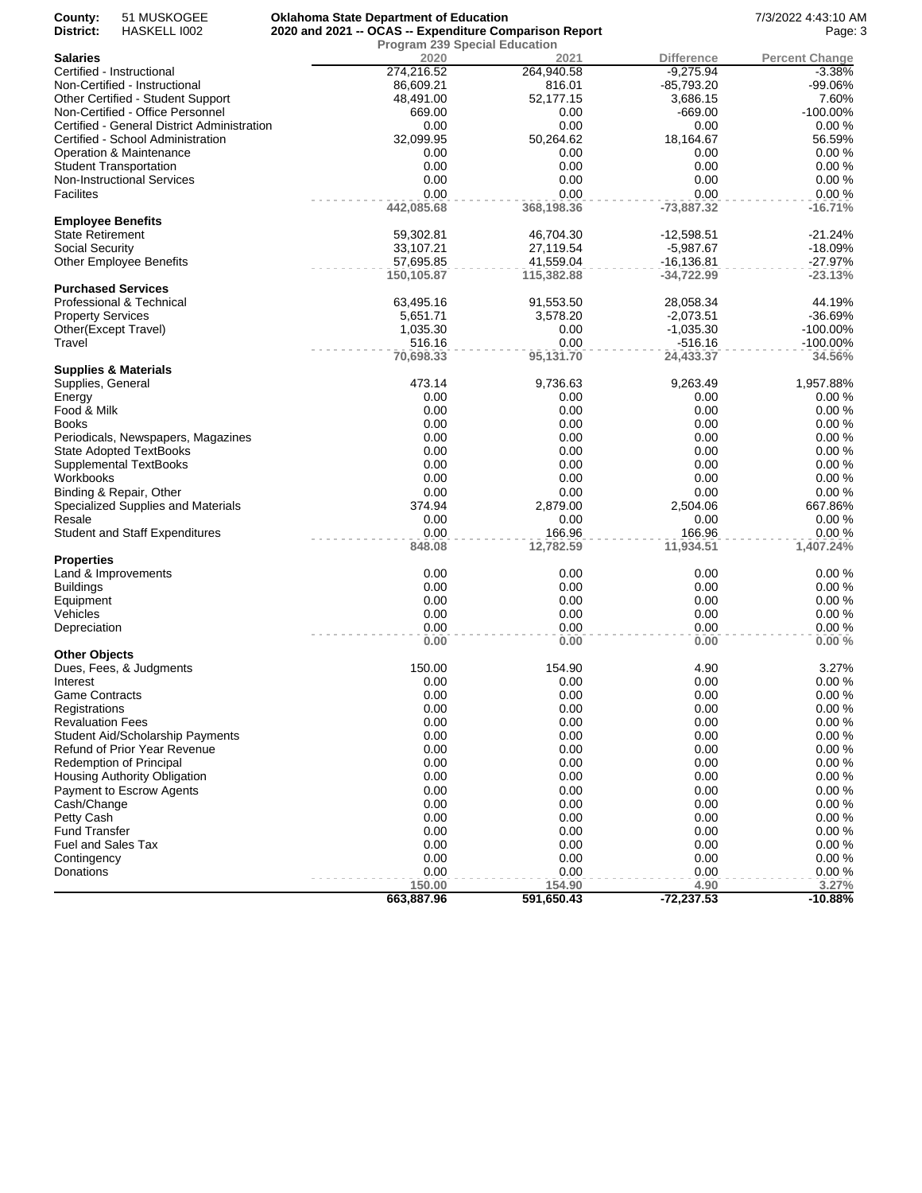| County:<br>51 MUSKOGEE<br>District:<br>HASKELL 1002 | <b>Oklahoma State Department of Education</b><br>2020 and 2021 -- OCAS -- Expenditure Comparison Report |                                              |                        | 7/3/2022 4:43:10 AM<br>Page: 3 |
|-----------------------------------------------------|---------------------------------------------------------------------------------------------------------|----------------------------------------------|------------------------|--------------------------------|
| <b>Salaries</b>                                     | 2020                                                                                                    | <b>Program 239 Special Education</b><br>2021 | <b>Difference</b>      | <b>Percent Change</b>          |
| Certified - Instructional                           | 274,216.52                                                                                              | 264,940.58                                   | $-9,275.94$            | $-3.38%$                       |
| Non-Certified - Instructional                       | 86,609.21                                                                                               | 816.01                                       | $-85,793.20$           | -99.06%                        |
| Other Certified - Student Support                   | 48,491.00                                                                                               | 52,177.15                                    | 3,686.15               | 7.60%                          |
| Non-Certified - Office Personnel                    | 669.00                                                                                                  | 0.00                                         | $-669.00$              | $-100.00\%$                    |
| Certified - General District Administration         | 0.00                                                                                                    | 0.00                                         | 0.00                   | 0.00%                          |
| Certified - School Administration                   | 32,099.95                                                                                               | 50,264.62                                    | 18,164.67              | 56.59%                         |
| Operation & Maintenance                             | 0.00                                                                                                    | 0.00                                         | 0.00                   | 0.00%                          |
| Student Transportation                              | 0.00                                                                                                    | 0.00                                         | 0.00                   | 0.00%                          |
| <b>Non-Instructional Services</b>                   | 0.00                                                                                                    | 0.00                                         | 0.00                   | 0.00%                          |
| Facilites                                           | 0.00                                                                                                    | 0.00                                         | 0.00                   | 0.00%                          |
|                                                     | 442,085.68                                                                                              | 368,198.36                                   | -73,887.32             | $-16.71%$                      |
| <b>Employee Benefits</b>                            |                                                                                                         |                                              |                        |                                |
| <b>State Retirement</b>                             | 59,302.81                                                                                               | 46,704.30                                    | $-12,598.51$           | $-21.24%$                      |
| Social Security                                     | 33,107.21                                                                                               | 27,119.54                                    | $-5,987.67$            | $-18.09%$                      |
| <b>Other Employee Benefits</b>                      | 57,695.85                                                                                               | 41,559.04                                    | $-16, 136.81$          | $-27.97%$                      |
|                                                     | 150,105.87                                                                                              | 115,382.88                                   | $-34,722.99$           | $-23.13%$                      |
| <b>Purchased Services</b>                           |                                                                                                         |                                              |                        |                                |
| Professional & Technical                            | 63,495.16                                                                                               | 91,553.50<br>3,578.20                        | 28,058.34              | 44.19%                         |
| <b>Property Services</b>                            | 5,651.71                                                                                                |                                              | $-2,073.51$            | $-36.69%$                      |
| Other(Except Travel)<br>Travel                      | 1,035.30<br>516.16                                                                                      | 0.00<br>0.00                                 | $-1,035.30$            | $-100.00\%$<br>$-100.00\%$     |
|                                                     | 70,698.33                                                                                               | 95,131.70                                    | $-516.16$<br>24,433.37 | 34.56%                         |
| <b>Supplies &amp; Materials</b>                     |                                                                                                         |                                              |                        |                                |
| Supplies, General                                   | 473.14                                                                                                  | 9,736.63                                     | 9,263.49               | 1,957.88%                      |
| Energy                                              | 0.00                                                                                                    | 0.00                                         | 0.00                   | 0.00%                          |
| Food & Milk                                         | 0.00                                                                                                    | 0.00                                         | 0.00                   | 0.00%                          |
| <b>Books</b>                                        | 0.00                                                                                                    | 0.00                                         | 0.00                   | 0.00%                          |
| Periodicals, Newspapers, Magazines                  | 0.00                                                                                                    | 0.00                                         | 0.00                   | 0.00%                          |
| <b>State Adopted TextBooks</b>                      | 0.00                                                                                                    | 0.00                                         | 0.00                   | 0.00%                          |
| <b>Supplemental TextBooks</b>                       | 0.00                                                                                                    | 0.00                                         | 0.00                   | 0.00%                          |
| Workbooks                                           | 0.00                                                                                                    | 0.00                                         | 0.00                   | 0.00%                          |
| Binding & Repair, Other                             | 0.00                                                                                                    | 0.00                                         | 0.00                   | 0.00%                          |
| Specialized Supplies and Materials                  | 374.94                                                                                                  | 2,879.00                                     | 2,504.06               | 667.86%                        |
| Resale                                              | 0.00                                                                                                    | 0.00                                         | 0.00                   | 0.00%                          |
| <b>Student and Staff Expenditures</b>               | 0.00                                                                                                    | 166.96                                       | 166.96                 | 0.00%                          |
|                                                     | 848.08                                                                                                  | 12,782.59                                    | 11,934.51              | 1,407.24%                      |
| <b>Properties</b>                                   |                                                                                                         |                                              |                        |                                |
| Land & Improvements                                 | 0.00                                                                                                    | 0.00                                         | 0.00                   | 0.00%                          |
| <b>Buildings</b>                                    | 0.00                                                                                                    | 0.00                                         | 0.00                   | 0.00%                          |
| Equipment                                           | 0.00                                                                                                    | 0.00                                         | 0.00                   | 0.00%                          |
| Vehicles                                            | 0.00                                                                                                    | 0.00                                         | 0.00                   | 0.00%                          |
| Depreciation                                        | 0.00                                                                                                    | 0.00                                         | 0.00                   | 0.00%                          |
|                                                     | 0.00                                                                                                    | 0.00                                         | 0.00                   | 0.00%                          |
| <b>Other Objects</b>                                | 150.00                                                                                                  | 154.90                                       | 4.90                   | 3.27%                          |
| Dues, Fees, & Judgments                             | 0.00                                                                                                    | 0.00                                         | 0.00                   | 0.00%                          |
| Interest<br><b>Game Contracts</b>                   | 0.00                                                                                                    | 0.00                                         | 0.00                   | 0.00%                          |
| Registrations                                       | 0.00                                                                                                    | 0.00                                         | 0.00                   | 0.00 %                         |
| <b>Revaluation Fees</b>                             | 0.00                                                                                                    | 0.00                                         | 0.00                   | 0.00 %                         |
| <b>Student Aid/Scholarship Payments</b>             | 0.00                                                                                                    | 0.00                                         | 0.00                   | 0.00%                          |
| Refund of Prior Year Revenue                        | 0.00                                                                                                    | 0.00                                         | 0.00                   | 0.00%                          |
| Redemption of Principal                             | 0.00                                                                                                    | 0.00                                         | 0.00                   | 0.00%                          |
| Housing Authority Obligation                        | 0.00                                                                                                    | 0.00                                         | 0.00                   | 0.00 %                         |
| Payment to Escrow Agents                            | 0.00                                                                                                    | 0.00                                         | 0.00                   | 0.00 %                         |
| Cash/Change                                         | 0.00                                                                                                    | 0.00                                         | 0.00                   | 0.00 %                         |
| Petty Cash                                          | 0.00                                                                                                    | 0.00                                         | 0.00                   | 0.00%                          |
| <b>Fund Transfer</b>                                | 0.00                                                                                                    | 0.00                                         | 0.00                   | 0.00%                          |
| <b>Fuel and Sales Tax</b>                           | 0.00                                                                                                    | 0.00                                         | 0.00                   | 0.00%                          |
| Contingency                                         | 0.00                                                                                                    | 0.00                                         | 0.00                   | 0.00%                          |
| Donations                                           | 0.00                                                                                                    | 0.00                                         | 0.00                   | 0.00%                          |
|                                                     | 150.00                                                                                                  | 154.90                                       | 4.90                   | 3.27%                          |
|                                                     | 663,887.96                                                                                              | 591,650.43                                   | $-72,237.53$           | $-10.88%$                      |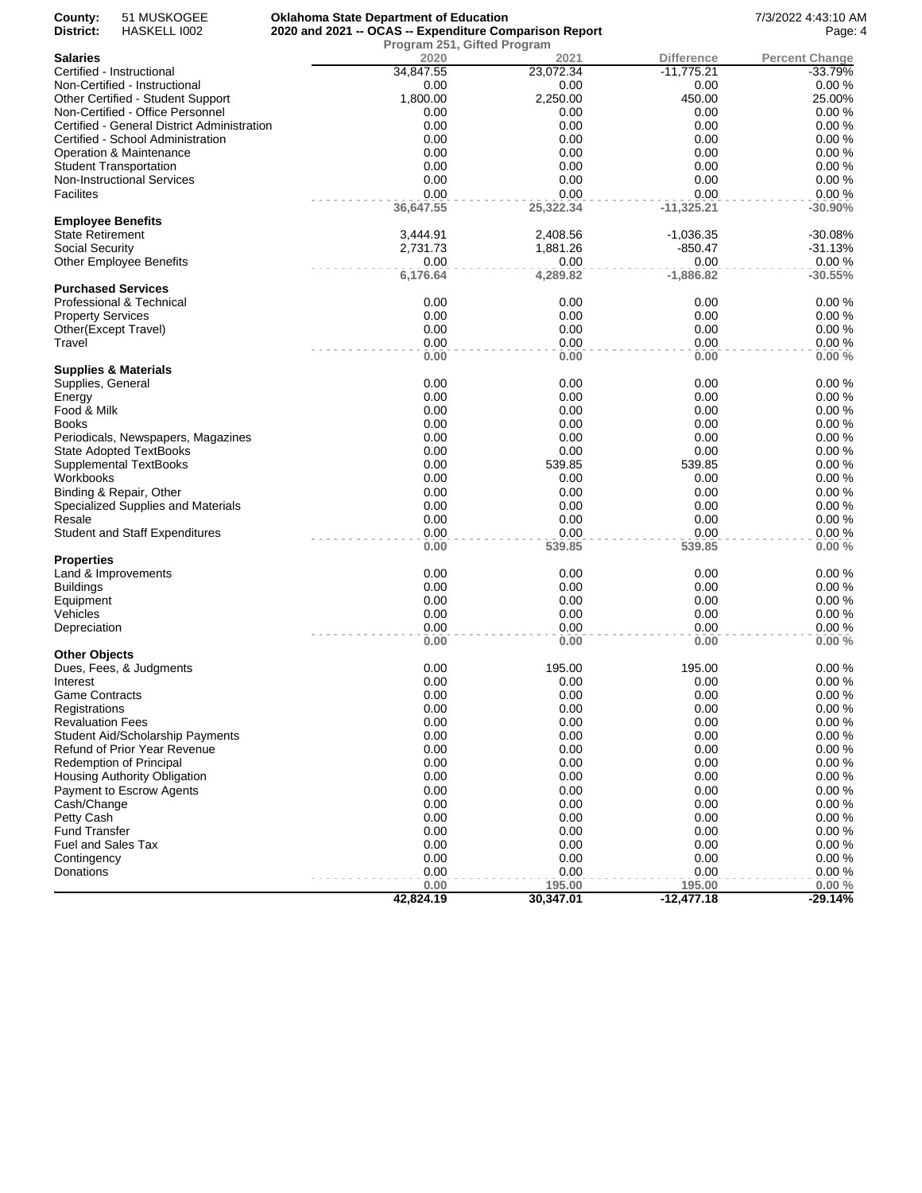| County:                  | 51 MUSKOGEE                                 | <b>Oklahoma State Department of Education</b>          |           |              | 7/3/2022 4:43:10 AM   |
|--------------------------|---------------------------------------------|--------------------------------------------------------|-----------|--------------|-----------------------|
| District:                | HASKELL 1002                                | 2020 and 2021 -- OCAS -- Expenditure Comparison Report | Page: 4   |              |                       |
|                          |                                             | Program 251, Gifted Program                            |           |              |                       |
| <b>Salaries</b>          |                                             | 2020                                                   | 2021      | Difference   | <b>Percent Change</b> |
|                          | Certified - Instructional                   | 34,847.55                                              | 23,072.34 | $-11,775.21$ | $-33.79%$             |
|                          | Non-Certified - Instructional               | 0.00                                                   | 0.00      | 0.00         | 0.00%                 |
|                          | Other Certified - Student Support           | 1,800.00                                               | 2,250.00  | 450.00       | 25.00%                |
|                          | Non-Certified - Office Personnel            | 0.00                                                   | 0.00      | 0.00         | 0.00%                 |
|                          | Certified - General District Administration | 0.00                                                   | 0.00      | 0.00         | 0.00%                 |
|                          | Certified - School Administration           | 0.00                                                   | 0.00      | 0.00         | 0.00%                 |
|                          | Operation & Maintenance                     | 0.00                                                   | 0.00      | 0.00         | 0.00%                 |
|                          | <b>Student Transportation</b>               | 0.00                                                   | 0.00      | 0.00         | 0.00%                 |
|                          | <b>Non-Instructional Services</b>           | 0.00                                                   | 0.00      | 0.00         | 0.00%                 |
| <b>Facilites</b>         |                                             | 0.00                                                   | 0.00      | 0.00         | 0.00%                 |
|                          |                                             | 36,647.55                                              | 25,322.34 | $-11,325.21$ | $-30.90%$             |
| <b>Employee Benefits</b> |                                             |                                                        |           |              |                       |
| State Retirement         |                                             | 3,444.91                                               | 2,408.56  | $-1,036.35$  | $-30.08%$             |
| Social Security          |                                             | 2,731.73                                               | 1,881.26  | -850.47      | $-31.13%$             |
|                          | Other Employee Benefits                     | 0.00                                                   | 0.00      | 0.00         | 0.00%                 |
|                          |                                             | 6,176.64                                               | 4,289.82  | $-1,886.82$  | $-30.55%$             |
|                          | <b>Purchased Services</b>                   |                                                        |           |              |                       |
|                          | Professional & Technical                    | 0.00                                                   | 0.00      | 0.00         | 0.00%                 |
| <b>Property Services</b> |                                             | 0.00                                                   | 0.00      | 0.00         | 0.00%                 |
|                          | Other(Except Travel)                        | 0.00                                                   | 0.00      | 0.00         | 0.00%                 |
| Travel                   |                                             | 0.00                                                   | 0.00      | 0.00         | 0.00%                 |
|                          |                                             | 0.00                                                   | 0.00      | 0.00         | 0.00%                 |
|                          | <b>Supplies &amp; Materials</b>             |                                                        |           |              |                       |
| Supplies, General        |                                             | 0.00                                                   | 0.00      | 0.00         | 0.00%                 |
| Energy                   |                                             | 0.00                                                   | 0.00      | 0.00         | 0.00%                 |
| Food & Milk              |                                             | 0.00                                                   | 0.00      | 0.00         | 0.00%                 |
| Books                    |                                             | 0.00                                                   | 0.00      | 0.00         | 0.00%                 |
|                          | Periodicals, Newspapers, Magazines          | 0.00                                                   | 0.00      | 0.00         | 0.00%                 |
|                          | State Adopted TextBooks                     | 0.00                                                   | 0.00      | 0.00         | 0.00%                 |
|                          | <b>Supplemental TextBooks</b>               | 0.00                                                   | 539.85    | 539.85       | 0.00%                 |
| Workbooks                |                                             | 0.00                                                   | 0.00      | 0.00         | 0.00%                 |
|                          | Binding & Repair, Other                     | 0.00                                                   | 0.00      | 0.00         | 0.00%                 |
|                          | Specialized Supplies and Materials          | 0.00                                                   | 0.00      | 0.00         | 0.00%                 |
| Resale                   |                                             | 0.00                                                   | 0.00      | 0.00         | 0.00%                 |
|                          | <b>Student and Staff Expenditures</b>       | 0.00                                                   | 0.00      | 0.00         | 0.00%                 |
|                          |                                             | 0.00                                                   | 539.85    | 539.85       | 0.00%                 |
| <b>Properties</b>        |                                             |                                                        |           |              |                       |
|                          | Land & Improvements                         | 0.00                                                   | 0.00      | 0.00         | 0.00%                 |
| <b>Buildings</b>         |                                             | 0.00                                                   | 0.00      | 0.00         | 0.00%                 |
| Equipment                |                                             | 0.00                                                   | 0.00      | 0.00         | 0.00%                 |
| Vehicles                 |                                             | 0.00                                                   | 0.00      | 0.00         | 0.00%                 |
| Depreciation             |                                             | 0.00                                                   | 0.00      | 0.00         | 0.00%                 |
|                          |                                             | 0.00                                                   | 0.00      | 0.00         | 0.00%                 |
| Other Objects            |                                             |                                                        |           |              |                       |
|                          | Dues, Fees, & Judgments                     | 0.00                                                   | 195.00    | 195.00       | 0.00%                 |
| Interest                 |                                             | 0.00                                                   | 0.00      | 0.00         | 0.00%                 |
| Game Contracts           |                                             | 0.00                                                   | 0.00      | 0.00         | 0.00%                 |
| Registrations            |                                             | 0.00                                                   | 0.00      | 0.00         | 0.00%                 |
| <b>Revaluation Fees</b>  |                                             | 0.00                                                   | 0.00      | 0.00         | 0.00%                 |
|                          | Student Aid/Scholarship Payments            | 0.00                                                   | 0.00      | 0.00         | 0.00%                 |
|                          | Refund of Prior Year Revenue                | 0.00                                                   | 0.00      | 0.00         | 0.00%                 |
|                          | Redemption of Principal                     | 0.00                                                   | 0.00      | 0.00         | 0.00%                 |
|                          | Housing Authority Obligation                | 0.00                                                   | 0.00      | 0.00         | 0.00%                 |
|                          | Payment to Escrow Agents                    | 0.00                                                   | 0.00      | 0.00         | 0.00%                 |
| Cash/Change              |                                             | 0.00                                                   | 0.00      | 0.00         | 0.00%                 |
| Petty Cash               |                                             | 0.00                                                   | 0.00      | 0.00         | 0.00%                 |
| <b>Fund Transfer</b>     |                                             | 0.00                                                   | 0.00      | 0.00         | 0.00%                 |
| Fuel and Sales Tax       |                                             | 0.00                                                   | 0.00      | 0.00         | 0.00%                 |
| Contingency              |                                             | 0.00                                                   | 0.00      | 0.00         | 0.00%                 |
| Donations                |                                             | 0.00                                                   | 0.00      | 0.00         | 0.00%                 |
|                          |                                             | 0.00                                                   | 195.00    | 195.00       | 0.00%                 |
|                          |                                             |                                                        |           | $-12,477.18$ | $-29.14%$             |
|                          |                                             | 42,824.19                                              | 30,347.01 |              |                       |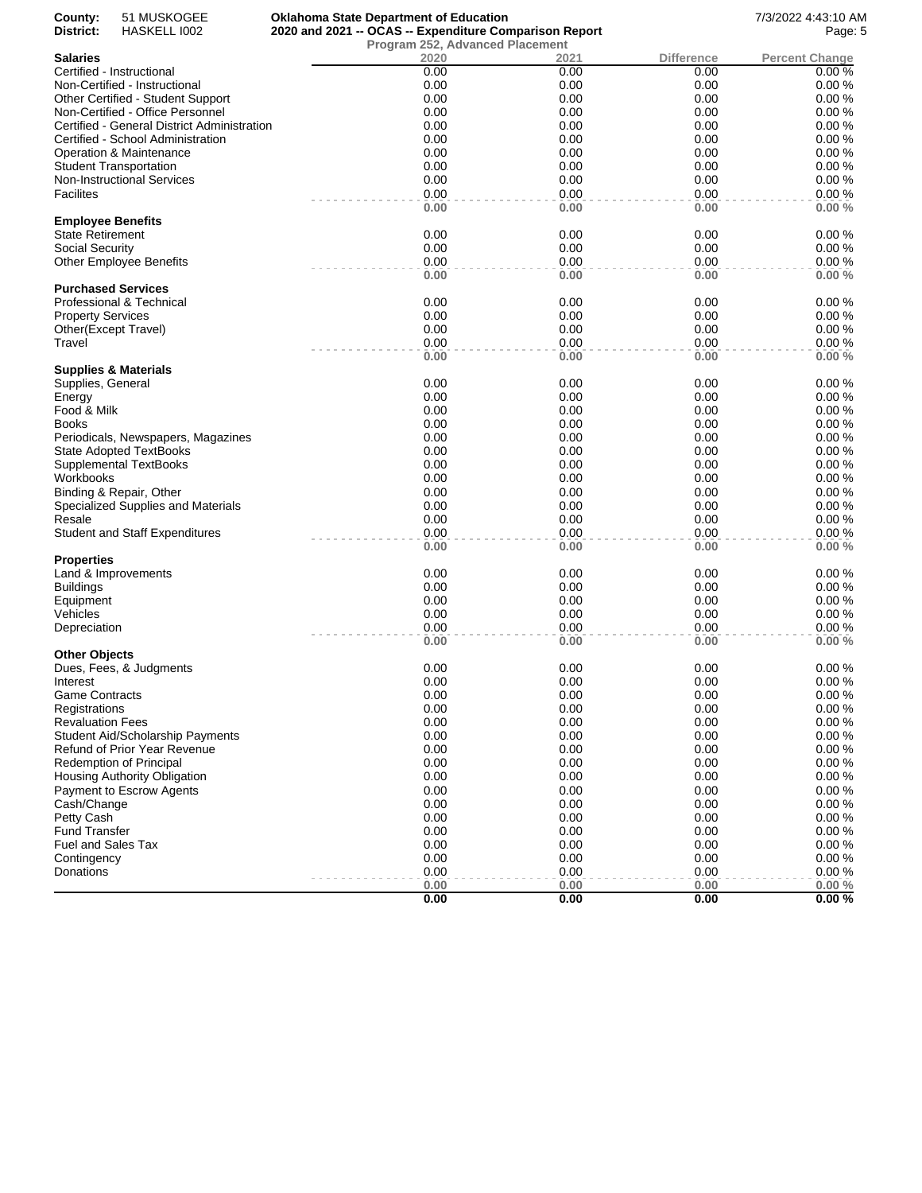| County:<br>District:                         | 51 MUSKOGEE<br>HASKELL 1002                 | <b>Oklahoma State Department of Education</b><br>2020 and 2021 -- OCAS -- Expenditure Comparison Report |              |                           | 7/3/2022 4:43:10 AM<br>Page: 5 |
|----------------------------------------------|---------------------------------------------|---------------------------------------------------------------------------------------------------------|--------------|---------------------------|--------------------------------|
|                                              |                                             | Program 252, Advanced Placement                                                                         |              |                           |                                |
| Salaries                                     | Certified - Instructional                   | 2020<br>0.00                                                                                            | 2021<br>0.00 | <b>Difference</b><br>0.00 | <b>Percent Change</b><br>0.00% |
|                                              | Non-Certified - Instructional               | 0.00                                                                                                    | 0.00         | 0.00                      | 0.00%                          |
|                                              | Other Certified - Student Support           | 0.00                                                                                                    | 0.00         | 0.00                      | 0.00%                          |
|                                              | Non-Certified - Office Personnel            | 0.00                                                                                                    | 0.00         | 0.00                      | 0.00%                          |
|                                              | Certified - General District Administration | 0.00                                                                                                    | 0.00         | 0.00                      | 0.00%                          |
|                                              | Certified - School Administration           | 0.00                                                                                                    | 0.00         | 0.00                      | 0.00%                          |
|                                              | Operation & Maintenance                     | 0.00                                                                                                    | 0.00         | 0.00                      | 0.00%                          |
|                                              | <b>Student Transportation</b>               | 0.00                                                                                                    | 0.00         | 0.00                      | 0.00%                          |
|                                              | <b>Non-Instructional Services</b>           | 0.00                                                                                                    | 0.00         | 0.00                      | 0.00%                          |
| <b>Facilites</b>                             |                                             | 0.00                                                                                                    | 0.00         | 0.00                      | 0.00%                          |
|                                              |                                             | 0.00                                                                                                    | 0.00         | 0.00                      | 0.00%                          |
| <b>Employee Benefits</b><br>State Retirement |                                             | 0.00                                                                                                    | 0.00         | 0.00                      | 0.00%                          |
| Social Security                              |                                             | 0.00                                                                                                    | 0.00         | 0.00                      | 0.00%                          |
|                                              | <b>Other Employee Benefits</b>              | 0.00                                                                                                    | 0.00         | 0.00                      | 0.00%                          |
|                                              |                                             | 0.00                                                                                                    | 0.00         | 0.00                      | 0.00%                          |
|                                              | <b>Purchased Services</b>                   |                                                                                                         |              |                           |                                |
|                                              | Professional & Technical                    | 0.00                                                                                                    | 0.00         | 0.00                      | 0.00%                          |
| <b>Property Services</b>                     |                                             | 0.00                                                                                                    | 0.00         | 0.00                      | 0.00%                          |
|                                              | Other(Except Travel)                        | 0.00                                                                                                    | 0.00         | 0.00                      | 0.00%                          |
| Travel                                       |                                             | 0.00                                                                                                    | 0.00         | 0.00                      | 0.00%                          |
|                                              | <b>Supplies &amp; Materials</b>             | 0.00                                                                                                    | 0.00         | 0.00                      | 0.00%                          |
| Supplies, General                            |                                             | 0.00                                                                                                    | 0.00         | 0.00                      | 0.00%                          |
| Energy                                       |                                             | 0.00                                                                                                    | 0.00         | 0.00                      | 0.00%                          |
| Food & Milk                                  |                                             | 0.00                                                                                                    | 0.00         | 0.00                      | 0.00%                          |
| Books                                        |                                             | 0.00                                                                                                    | 0.00         | 0.00                      | 0.00%                          |
|                                              | Periodicals, Newspapers, Magazines          | 0.00                                                                                                    | 0.00         | 0.00                      | 0.00%                          |
|                                              | State Adopted TextBooks                     | 0.00                                                                                                    | 0.00         | 0.00                      | 0.00%                          |
|                                              | <b>Supplemental TextBooks</b>               | 0.00                                                                                                    | 0.00         | 0.00                      | 0.00%                          |
| Workbooks                                    |                                             | 0.00                                                                                                    | 0.00         | 0.00                      | 0.00%                          |
|                                              | Binding & Repair, Other                     | 0.00                                                                                                    | 0.00         | 0.00                      | 0.00%                          |
|                                              | Specialized Supplies and Materials          | 0.00                                                                                                    | 0.00         | 0.00                      | 0.00%                          |
| Resale                                       |                                             | 0.00                                                                                                    | 0.00         | 0.00                      | 0.00%                          |
|                                              | <b>Student and Staff Expenditures</b>       | 0.00                                                                                                    | 0.00         | 0.00                      | 0.00%                          |
| Properties                                   |                                             | 0.00                                                                                                    | 0.00         | 0.00                      | 0.00%                          |
|                                              | Land & Improvements                         | 0.00                                                                                                    | 0.00         | 0.00                      | 0.00%                          |
| <b>Buildings</b>                             |                                             | 0.00                                                                                                    | 0.00         | 0.00                      | 0.00%                          |
| Equipment                                    |                                             | 0.00                                                                                                    | 0.00         | 0.00                      | 0.00%                          |
| Vehicles                                     |                                             | 0.00                                                                                                    | 0.00         | 0.00                      | 0.00%                          |
| Depreciation                                 |                                             | 0.00                                                                                                    | 0.00         | 0.00                      | 0.00%                          |
|                                              |                                             | 0.00                                                                                                    | 0.00         | 0.00                      | 0.00%                          |
| <b>Other Objects</b>                         |                                             |                                                                                                         |              |                           |                                |
|                                              | Dues, Fees, & Judgments                     | 0.00                                                                                                    | 0.00         | 0.00                      | 0.00%                          |
| Interest                                     |                                             | 0.00                                                                                                    | 0.00         | 0.00                      | 0.00%                          |
| <b>Game Contracts</b>                        |                                             | 0.00<br>0.00                                                                                            | 0.00<br>0.00 | 0.00<br>0.00              | 0.00%<br>0.00%                 |
| Registrations<br><b>Revaluation Fees</b>     |                                             | 0.00                                                                                                    | 0.00         | 0.00                      | 0.00%                          |
|                                              | Student Aid/Scholarship Payments            | 0.00                                                                                                    | 0.00         | 0.00                      | 0.00%                          |
|                                              | Refund of Prior Year Revenue                | 0.00                                                                                                    | 0.00         | 0.00                      | 0.00%                          |
|                                              | <b>Redemption of Principal</b>              | 0.00                                                                                                    | 0.00         | 0.00                      | 0.00%                          |
|                                              | Housing Authority Obligation                | 0.00                                                                                                    | 0.00         | 0.00                      | 0.00%                          |
|                                              | Payment to Escrow Agents                    | 0.00                                                                                                    | 0.00         | 0.00                      | 0.00%                          |
| Cash/Change                                  |                                             | 0.00                                                                                                    | 0.00         | 0.00                      | 0.00%                          |
| Petty Cash                                   |                                             | 0.00                                                                                                    | 0.00         | 0.00                      | 0.00%                          |
| <b>Fund Transfer</b>                         |                                             | 0.00                                                                                                    | 0.00         | 0.00                      | 0.00%                          |
| Fuel and Sales Tax                           |                                             | 0.00                                                                                                    | 0.00         | 0.00                      | 0.00%                          |
| Contingency                                  |                                             | 0.00                                                                                                    | 0.00         | 0.00                      | 0.00%                          |
| Donations                                    |                                             | 0.00                                                                                                    | 0.00         | 0.00                      | 0.00%                          |
|                                              |                                             | 0.00                                                                                                    | 0.00         | 0.00                      | 0.00%                          |
|                                              |                                             | 0.00                                                                                                    | 0.00         | 0.00                      | 0.00%                          |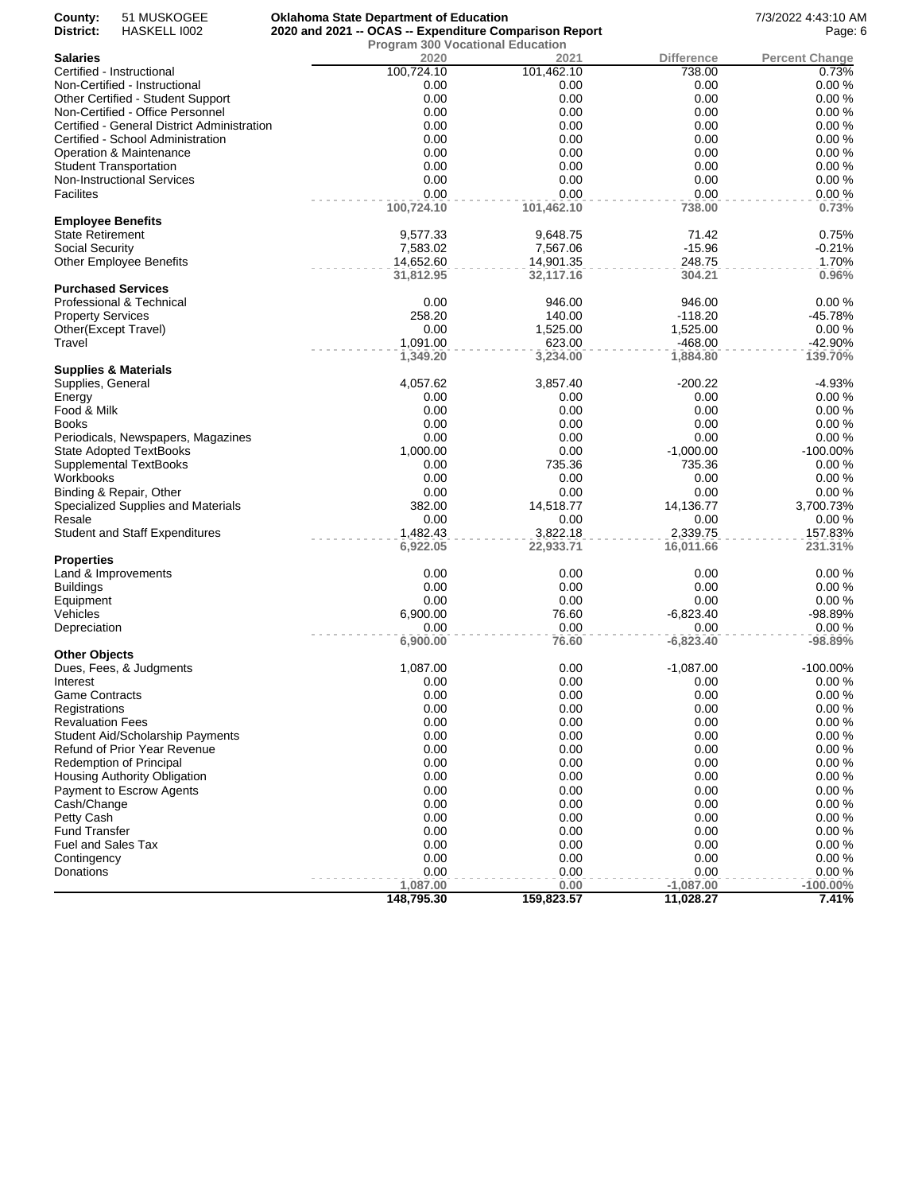| County:                           | 51 MUSKOGEE                                 | <b>Oklahoma State Department of Education</b>          | 7/3/2022 4:43:10 AM |                   |                       |
|-----------------------------------|---------------------------------------------|--------------------------------------------------------|---------------------|-------------------|-----------------------|
| District:                         | HASKELL 1002                                | 2020 and 2021 -- OCAS -- Expenditure Comparison Report | Page: 6             |                   |                       |
| <b>Salaries</b>                   |                                             | <b>Program 300 Vocational Education</b><br>2020        | 2021                | <b>Difference</b> | <b>Percent Change</b> |
|                                   | Certified - Instructional                   | 100,724.10                                             | 101,462.10          | 738.00            | 0.73%                 |
|                                   | Non-Certified - Instructional               | 0.00                                                   | 0.00                | 0.00              | 0.00%                 |
|                                   | Other Certified - Student Support           | 0.00                                                   | 0.00                | 0.00              | 0.00%                 |
|                                   | Non-Certified - Office Personnel            | 0.00                                                   | 0.00                | 0.00              | 0.00%                 |
|                                   | Certified - General District Administration | 0.00                                                   | 0.00                | 0.00              | 0.00%                 |
|                                   | Certified - School Administration           | 0.00                                                   | 0.00                | 0.00              | 0.00%                 |
|                                   | Operation & Maintenance                     | 0.00                                                   | 0.00                | 0.00              | 0.00%                 |
|                                   | <b>Student Transportation</b>               | 0.00                                                   | 0.00                | 0.00              | 0.00%                 |
|                                   | Non-Instructional Services                  | 0.00                                                   | 0.00                | 0.00              | 0.00%                 |
| <b>Facilites</b>                  |                                             | 0.00                                                   | 0.00                | 0.00              | 0.00%                 |
|                                   |                                             | 100,724.10                                             | 101,462.10          | 738.00            | 0.73%                 |
| <b>Employee Benefits</b>          |                                             |                                                        |                     |                   |                       |
| <b>State Retirement</b>           |                                             | 9,577.33                                               | 9,648.75            | 71.42             | 0.75%                 |
| Social Security                   |                                             | 7,583.02                                               | 7,567.06            | $-15.96$          | $-0.21%$              |
|                                   | <b>Other Employee Benefits</b>              | 14,652.60                                              | 14,901.35           | 248.75            | 1.70%                 |
|                                   |                                             | 31,812.95                                              | 32,117.16           | 304.21            | 0.96%                 |
|                                   | <b>Purchased Services</b>                   |                                                        |                     |                   |                       |
|                                   | Professional & Technical                    | 0.00                                                   | 946.00              | 946.00            | 0.00%                 |
| <b>Property Services</b>          |                                             | 258.20                                                 | 140.00              | $-118.20$         | $-45.78%$             |
|                                   | Other(Except Travel)                        | 0.00                                                   | 1,525.00            | 1,525.00          | 0.00%                 |
| Travel                            |                                             | 1,091.00                                               | 623.00              | $-468.00$         | $-42.90%$             |
|                                   |                                             | 1,349.20                                               | 3,234.00            | 1,884.80          | 139.70%               |
|                                   | <b>Supplies &amp; Materials</b>             |                                                        |                     |                   |                       |
| Supplies, General                 |                                             | 4,057.62                                               | 3,857.40            | -200.22           | $-4.93%$              |
| Energy                            |                                             | 0.00                                                   | 0.00                | 0.00              | 0.00%                 |
| Food & Milk                       |                                             | 0.00                                                   | 0.00                | 0.00              | 0.00%                 |
| <b>Books</b>                      |                                             | 0.00                                                   | 0.00                | 0.00              | 0.00%                 |
|                                   | Periodicals, Newspapers, Magazines          | 0.00                                                   | 0.00                | 0.00              | 0.00%                 |
|                                   | <b>State Adopted TextBooks</b>              | 1,000.00                                               | 0.00                | $-1,000.00$       | -100.00%              |
|                                   |                                             |                                                        | 735.36              |                   |                       |
|                                   | <b>Supplemental TextBooks</b>               | 0.00<br>0.00                                           |                     | 735.36            | 0.00%                 |
| Workbooks                         |                                             |                                                        | 0.00                | 0.00              | 0.00%                 |
|                                   | Binding & Repair, Other                     | 0.00                                                   | 0.00                | 0.00              | 0.00%                 |
| Resale                            | Specialized Supplies and Materials          | 382.00<br>0.00                                         | 14,518.77           | 14,136.77         | 3,700.73%             |
|                                   |                                             | 1,482.43                                               | 0.00<br>3,822.18    | 0.00              | 0.00%                 |
|                                   | <b>Student and Staff Expenditures</b>       |                                                        |                     | 2,339.75          | 157.83%               |
|                                   |                                             | 6,922.05                                               | 22,933.71           | 16,011.66         | 231.31%               |
| Properties                        |                                             |                                                        |                     |                   |                       |
|                                   | Land & Improvements                         | 0.00<br>0.00                                           | 0.00                | 0.00<br>0.00      | 0.00%                 |
| <b>Buildings</b>                  |                                             |                                                        | 0.00                |                   | 0.00%                 |
| Equipment                         |                                             | 0.00                                                   | 0.00                | 0.00              | 0.00%                 |
| Vehicles                          |                                             | 6,900.00                                               | 76.60               | $-6,823.40$       | -98.89%               |
| Depreciation                      |                                             | 0.00                                                   | 0.00                | 0.00              | 0.00%                 |
|                                   |                                             | 6,900.00                                               | 76.60               | $-6,823.40$       | $-98.89%$             |
| Other Objects                     |                                             | 1,087.00                                               |                     | $-1,087.00$       |                       |
|                                   | Dues, Fees, & Judgments                     |                                                        | 0.00                |                   | -100.00%<br>$0.00 \%$ |
| Interest<br><b>Game Contracts</b> |                                             | 0.00<br>0.00                                           | 0.00<br>0.00        | 0.00<br>0.00      | 0.00%                 |
|                                   |                                             |                                                        |                     |                   |                       |
| Registrations                     |                                             | 0.00                                                   | 0.00                | 0.00              | 0.00%                 |
| <b>Revaluation Fees</b>           |                                             | 0.00                                                   | 0.00                | 0.00              | 0.00%                 |
|                                   | <b>Student Aid/Scholarship Payments</b>     | 0.00                                                   | 0.00                | 0.00              | 0.00%                 |
|                                   | Refund of Prior Year Revenue                | 0.00                                                   | 0.00                | 0.00              | 0.00%                 |
|                                   | <b>Redemption of Principal</b>              | 0.00                                                   | 0.00                | 0.00              | 0.00%                 |
|                                   | <b>Housing Authority Obligation</b>         | 0.00                                                   | 0.00                | 0.00              | 0.00%                 |
|                                   | Payment to Escrow Agents                    | 0.00                                                   | 0.00                | 0.00              | 0.00%                 |
| Cash/Change                       |                                             | 0.00                                                   | 0.00                | 0.00              | 0.00%                 |
| Petty Cash                        |                                             | 0.00                                                   | 0.00                | 0.00              | 0.00%                 |
| <b>Fund Transfer</b>              |                                             | 0.00                                                   | 0.00                | 0.00              | 0.00%                 |
| Fuel and Sales Tax                |                                             | 0.00                                                   | 0.00                | 0.00              | 0.00%                 |
| Contingency                       |                                             | 0.00                                                   | 0.00                | 0.00              | 0.00%                 |
| Donations                         |                                             | 0.00                                                   | 0.00                | 0.00              | 0.00%                 |
|                                   |                                             | 1,087.00                                               | 0.00                | $-1,087.00$       | $-100.00\%$           |
|                                   |                                             | 148,795.30                                             | 159,823.57          | 11,028.27         | 7.41%                 |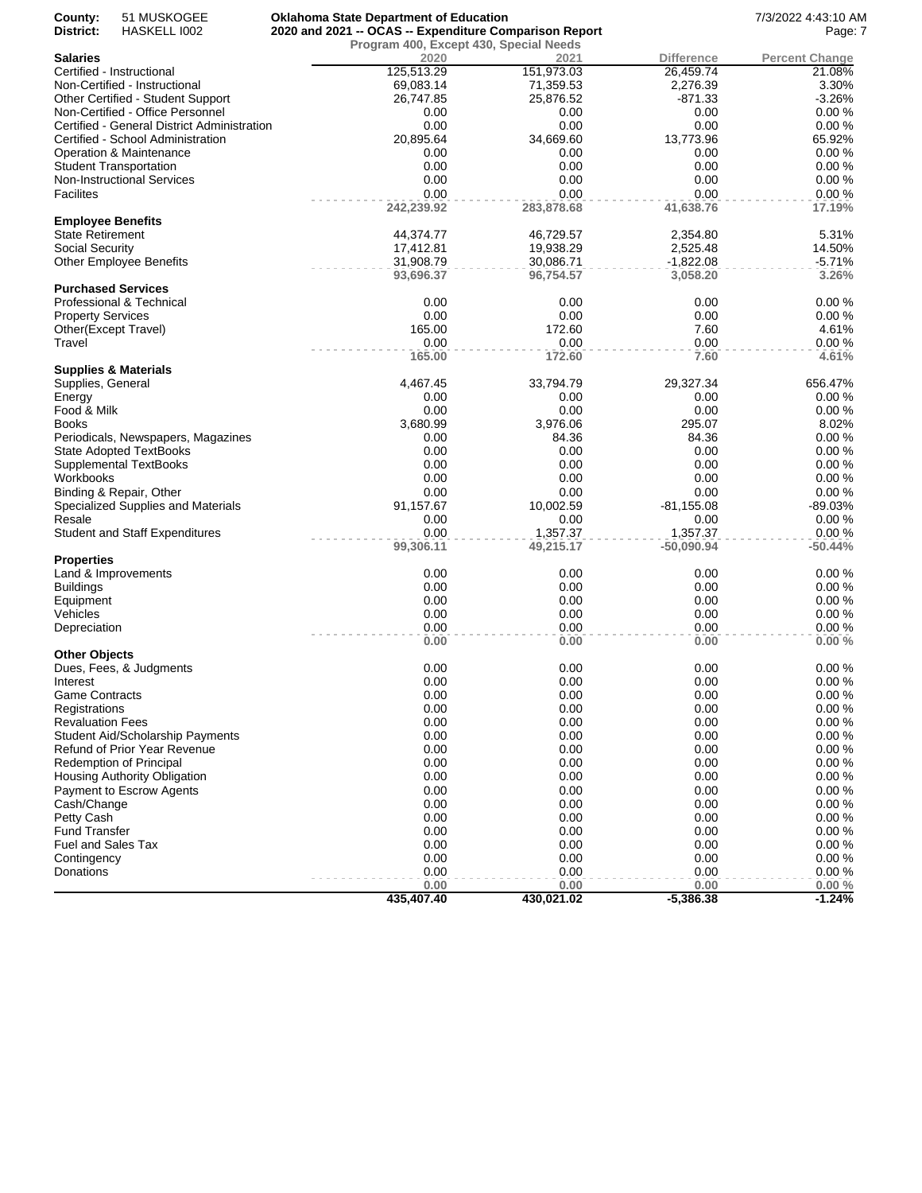| County:                  | 51 MUSKOGEE                                 | <b>Oklahoma State Department of Education</b>          |            |                   | 7/3/2022 4:43:10 AM   |
|--------------------------|---------------------------------------------|--------------------------------------------------------|------------|-------------------|-----------------------|
| District:                | HASKELL 1002                                | 2020 and 2021 -- OCAS -- Expenditure Comparison Report | Page: 7    |                   |                       |
|                          |                                             | Program 400, Except 430, Special Needs                 |            |                   |                       |
| <b>Salaries</b>          |                                             | 2020                                                   | 2021       | <b>Difference</b> | <b>Percent Change</b> |
|                          | Certified - Instructional                   | 125,513.29                                             | 151,973.03 | 26,459.74         | 21.08%                |
|                          | Non-Certified - Instructional               | 69,083.14                                              | 71,359.53  | 2,276.39          | 3.30%                 |
|                          | Other Certified - Student Support           | 26,747.85                                              | 25,876.52  | $-871.33$         | $-3.26%$              |
|                          | Non-Certified - Office Personnel            | 0.00                                                   | 0.00       | 0.00              | 0.00%                 |
|                          | Certified - General District Administration | 0.00                                                   | 0.00       | 0.00              | 0.00%                 |
|                          | Certified - School Administration           | 20,895.64                                              | 34,669.60  | 13,773.96         | 65.92%                |
|                          | Operation & Maintenance                     | 0.00                                                   | 0.00       | 0.00              | 0.00%                 |
|                          | <b>Student Transportation</b>               | 0.00                                                   | 0.00       | 0.00              | 0.00%                 |
|                          | Non-Instructional Services                  | 0.00                                                   | 0.00       | 0.00              | 0.00%                 |
| <b>Facilites</b>         |                                             | 0.00                                                   | 0.00       | 0.00              | 0.00%                 |
|                          |                                             | 242,239.92                                             | 283,878.68 | 41,638.76         | 17.19%                |
| <b>Employee Benefits</b> |                                             |                                                        |            |                   |                       |
| <b>State Retirement</b>  |                                             | 44,374.77                                              | 46,729.57  | 2,354.80          | 5.31%                 |
| Social Security          |                                             | 17,412.81                                              | 19,938.29  | 2,525.48          | 14.50%                |
|                          | <b>Other Employee Benefits</b>              | 31,908.79                                              | 30,086.71  | $-1,822.08$       | $-5.71%$              |
|                          |                                             | 93,696.37                                              | 96,754.57  | 3,058.20          | 3.26%                 |
|                          | <b>Purchased Services</b>                   |                                                        |            |                   |                       |
|                          | Professional & Technical                    | 0.00                                                   | 0.00       | 0.00              | 0.00%                 |
| <b>Property Services</b> |                                             | 0.00                                                   | 0.00       | 0.00              | 0.00%                 |
|                          |                                             |                                                        |            |                   |                       |
|                          | Other(Except Travel)                        | 165.00                                                 | 172.60     | 7.60              | 4.61%                 |
| Travel                   |                                             | 0.00                                                   | 0.00       | 0.00              | 0.00%                 |
|                          |                                             | 165.00                                                 | 172.60     | 7.60              | 4.61%                 |
|                          | <b>Supplies &amp; Materials</b>             |                                                        |            |                   |                       |
| Supplies, General        |                                             | 4,467.45                                               | 33,794.79  | 29,327.34         | 656.47%               |
| Energy                   |                                             | 0.00                                                   | 0.00       | 0.00              | 0.00%                 |
| Food & Milk              |                                             | 0.00                                                   | 0.00       | 0.00              | 0.00%                 |
| <b>Books</b>             |                                             | 3,680.99                                               | 3,976.06   | 295.07            | 8.02%                 |
|                          | Periodicals, Newspapers, Magazines          | 0.00                                                   | 84.36      | 84.36             | 0.00%                 |
|                          | <b>State Adopted TextBooks</b>              | 0.00                                                   | 0.00       | 0.00              | 0.00%                 |
|                          | <b>Supplemental TextBooks</b>               | 0.00                                                   | 0.00       | 0.00              | 0.00%                 |
| Workbooks                |                                             | 0.00                                                   | 0.00       | 0.00              | 0.00%                 |
|                          | Binding & Repair, Other                     | 0.00                                                   | 0.00       | 0.00              | 0.00%                 |
|                          | Specialized Supplies and Materials          | 91,157.67                                              | 10,002.59  | $-81,155.08$      | -89.03%               |
| Resale                   |                                             | 0.00                                                   | 0.00       | 0.00              | 0.00%                 |
|                          | <b>Student and Staff Expenditures</b>       | 0.00                                                   | 1,357.37   | 1,357.37          | 0.00%                 |
|                          |                                             | 99,306.11                                              | 49,215.17  | $-50,090.94$      | $-50.44%$             |
| <b>Properties</b>        |                                             |                                                        |            |                   |                       |
|                          | Land & Improvements                         | 0.00                                                   | 0.00       | 0.00              | 0.00%                 |
| <b>Buildings</b>         |                                             | 0.00                                                   | 0.00       | 0.00              | 0.00%                 |
|                          |                                             |                                                        |            |                   |                       |
| Equipment                |                                             | 0.00                                                   | 0.00       | 0.00              | 0.00%                 |
| Vehicles                 |                                             | 0.00                                                   | 0.00       | 0.00              | 0.00%                 |
| Depreciation             |                                             | 0.00                                                   | 0.00       | 0.00              | 0.00%                 |
|                          |                                             | 0.00                                                   | 0.00       | 0.00              | 0.00%                 |
| <b>Other Objects</b>     |                                             |                                                        |            |                   |                       |
|                          | Dues, Fees, & Judgments                     | 0.00                                                   | 0.00       | 0.00              | 0.00%                 |
| Interest                 |                                             | 0.00                                                   | 0.00       | 0.00              | 0.00%                 |
| <b>Game Contracts</b>    |                                             | 0.00                                                   | 0.00       | 0.00              | 0.00%                 |
| Registrations            |                                             | 0.00                                                   | 0.00       | 0.00              | 0.00%                 |
| <b>Revaluation Fees</b>  |                                             | 0.00                                                   | 0.00       | 0.00              | 0.00%                 |
|                          | <b>Student Aid/Scholarship Payments</b>     | 0.00                                                   | 0.00       | 0.00              | 0.00%                 |
|                          | <b>Refund of Prior Year Revenue</b>         | 0.00                                                   | 0.00       | 0.00              | 0.00%                 |
|                          | Redemption of Principal                     | 0.00                                                   | 0.00       | 0.00              | 0.00%                 |
|                          | Housing Authority Obligation                | 0.00                                                   | 0.00       | 0.00              | 0.00%                 |
|                          | Payment to Escrow Agents                    | 0.00                                                   | 0.00       | 0.00              | 0.00%                 |
| Cash/Change              |                                             | 0.00                                                   | 0.00       | 0.00              | 0.00%                 |
| Petty Cash               |                                             | 0.00                                                   | 0.00       | 0.00              | 0.00%                 |
| <b>Fund Transfer</b>     |                                             | 0.00                                                   | 0.00       | 0.00              | 0.00%                 |
| Fuel and Sales Tax       |                                             | 0.00                                                   | 0.00       | 0.00              | 0.00%                 |
|                          |                                             |                                                        |            |                   |                       |
| Contingency              |                                             | 0.00                                                   | 0.00       | 0.00              | 0.00%                 |
| Donations                |                                             | 0.00                                                   | 0.00       | 0.00              | 0.00%                 |
|                          |                                             | 0.00                                                   | 0.00       | 0.00              | 0.00%                 |
|                          |                                             | 435,407.40                                             | 430,021.02 | $-5,386.38$       | $-1.24%$              |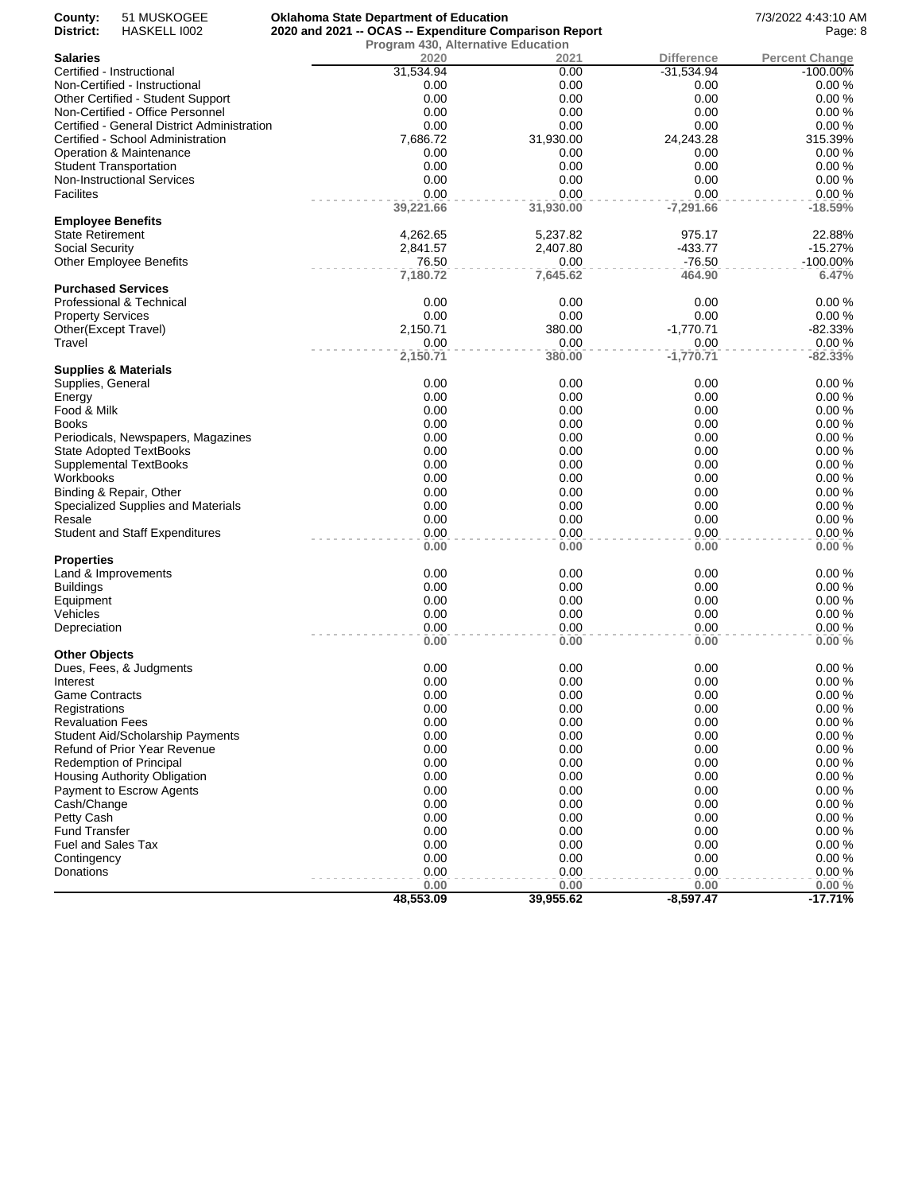| County:                  | 51 MUSKOGEE                                 | <b>Oklahoma State Department of Education</b>          |              |                   | 7/3/2022 4:43:10 AM   |
|--------------------------|---------------------------------------------|--------------------------------------------------------|--------------|-------------------|-----------------------|
| District:                | HASKELL 1002                                | 2020 and 2021 -- OCAS -- Expenditure Comparison Report | Page: 8      |                   |                       |
|                          |                                             | <b>Program 430, Alternative Education</b>              |              |                   |                       |
| Salaries                 |                                             | 2020                                                   | 2021         | <b>Difference</b> | <b>Percent Change</b> |
|                          | Certified - Instructional                   | 31,534.94                                              | 0.00         | $-31,534.94$      | -100.00%              |
|                          | Non-Certified - Instructional               | 0.00                                                   | 0.00         | 0.00              | 0.00%                 |
|                          | Other Certified - Student Support           | 0.00                                                   | 0.00         | 0.00              | 0.00%                 |
|                          | Non-Certified - Office Personnel            | 0.00                                                   | 0.00         | 0.00              | 0.00%                 |
|                          | Certified - General District Administration | 0.00                                                   | 0.00         | 0.00              | 0.00%                 |
|                          | Certified - School Administration           | 7,686.72                                               | 31,930.00    | 24,243.28         | 315.39%               |
|                          | Operation & Maintenance                     | 0.00                                                   | 0.00         | 0.00              | 0.00%                 |
|                          | <b>Student Transportation</b>               | 0.00                                                   | 0.00         | 0.00              | 0.00%                 |
|                          | Non-Instructional Services                  | 0.00                                                   | 0.00         | 0.00              | 0.00%                 |
| Facilites                |                                             | 0.00                                                   | 0.00         | 0.00              | 0.00%                 |
| <b>Employee Benefits</b> |                                             | 39,221.66                                              | 31,930.00    | $-7,291.66$       | $-18.59%$             |
| State Retirement         |                                             | 4,262.65                                               | 5,237.82     | 975.17            | 22.88%                |
| Social Security          |                                             | 2,841.57                                               | 2,407.80     | -433.77           | $-15.27%$             |
|                          | <b>Other Employee Benefits</b>              | 76.50                                                  | 0.00         | $-76.50$          | $-100.00\%$           |
|                          |                                             | 7,180.72                                               | 7,645.62     | 464.90            | 6.47%                 |
|                          | <b>Purchased Services</b>                   |                                                        |              |                   |                       |
|                          | Professional & Technical                    | 0.00                                                   | 0.00         | 0.00              | 0.00%                 |
| <b>Property Services</b> |                                             | 0.00                                                   | 0.00         | 0.00              | 0.00%                 |
| Other(Except Travel)     |                                             | 2,150.71                                               | 380.00       | $-1,770.71$       | $-82.33%$             |
| Travel                   |                                             | 0.00                                                   | 0.00         | 0.00              | 0.00%                 |
|                          |                                             | 2,150.71                                               | 380.00       | $-1,770.71$       | $-82.33%$             |
|                          | <b>Supplies &amp; Materials</b>             |                                                        |              |                   |                       |
| Supplies, General        |                                             | 0.00                                                   | 0.00         | 0.00              | 0.00%                 |
| Energy                   |                                             | 0.00                                                   | 0.00         | 0.00              | 0.00%                 |
| Food & Milk              |                                             | 0.00                                                   | 0.00         | 0.00              | 0.00%                 |
| Books                    |                                             | 0.00                                                   | 0.00         | 0.00              | 0.00%                 |
|                          | Periodicals, Newspapers, Magazines          | 0.00                                                   | 0.00         | 0.00              | 0.00%                 |
|                          | <b>State Adopted TextBooks</b>              | 0.00                                                   | 0.00         | 0.00              | 0.00%                 |
|                          | Supplemental TextBooks                      | 0.00                                                   | 0.00         | 0.00              | 0.00%                 |
| Workbooks                |                                             | 0.00                                                   | 0.00         | 0.00              | 0.00%                 |
|                          | Binding & Repair, Other                     | 0.00                                                   | 0.00         | 0.00              | 0.00%                 |
|                          | Specialized Supplies and Materials          | 0.00                                                   | 0.00         | 0.00              | 0.00%                 |
| Resale                   |                                             | 0.00                                                   | 0.00         | 0.00              | 0.00%                 |
|                          | <b>Student and Staff Expenditures</b>       | 0.00                                                   | 0.00         | 0.00              | 0.00%                 |
| Properties               |                                             | 0.00                                                   | 0.00         | 0.00              | 0.00%                 |
|                          | Land & Improvements                         | 0.00                                                   | 0.00         | 0.00              | 0.00%                 |
| <b>Buildings</b>         |                                             | 0.00                                                   | 0.00         | 0.00              | 0.00%                 |
| Equipment                |                                             | 0.00                                                   | 0.00         | 0.00              | 0.00%                 |
|                          |                                             | 0.00                                                   | 0.00         | 0.00              | 0.00%                 |
| Vehicles                 |                                             |                                                        |              |                   |                       |
| Depreciation             |                                             | 0.00<br>0.00                                           | 0.00<br>0.00 | 0.00<br>0.00      | 0.00%<br>0.00%        |
| <b>Other Objects</b>     |                                             |                                                        |              |                   |                       |
|                          | Dues, Fees, & Judgments                     | 0.00                                                   | 0.00         | 0.00              | 0.00%                 |
| Interest                 |                                             | 0.00                                                   | 0.00         | 0.00              | 0.00%                 |
| <b>Game Contracts</b>    |                                             | 0.00                                                   | 0.00         | 0.00              | 0.00%                 |
| Registrations            |                                             | 0.00                                                   | 0.00         | 0.00              | 0.00%                 |
| <b>Revaluation Fees</b>  |                                             | 0.00                                                   | 0.00         | 0.00              | 0.00%                 |
|                          | Student Aid/Scholarship Payments            | 0.00                                                   | 0.00         | 0.00              | 0.00%                 |
|                          | Refund of Prior Year Revenue                | 0.00                                                   | 0.00         | 0.00              | 0.00%                 |
|                          | Redemption of Principal                     | 0.00                                                   | 0.00         | 0.00              | 0.00%                 |
|                          | Housing Authority Obligation                | 0.00                                                   | 0.00         | 0.00              | 0.00%                 |
|                          | Payment to Escrow Agents                    | 0.00                                                   | 0.00         | 0.00              | 0.00%                 |
| Cash/Change              |                                             | 0.00                                                   | 0.00         | 0.00              | 0.00%                 |
| Petty Cash               |                                             | 0.00                                                   | 0.00         | 0.00              | 0.00%                 |
| <b>Fund Transfer</b>     |                                             | 0.00                                                   | 0.00         | 0.00              | 0.00%                 |
| Fuel and Sales Tax       |                                             | 0.00                                                   | 0.00         | 0.00              | 0.00%                 |
|                          |                                             | 0.00                                                   | 0.00         | 0.00              | 0.00%                 |
| Contingency<br>Donations |                                             | 0.00                                                   | 0.00         | 0.00              | 0.00%                 |
|                          |                                             | 0.00                                                   | 0.00         | 0.00              | $0.00 \%$             |
|                          |                                             | 48,553.09                                              | 39,955.62    | $-8,597.47$       | $-17.71%$             |
|                          |                                             |                                                        |              |                   |                       |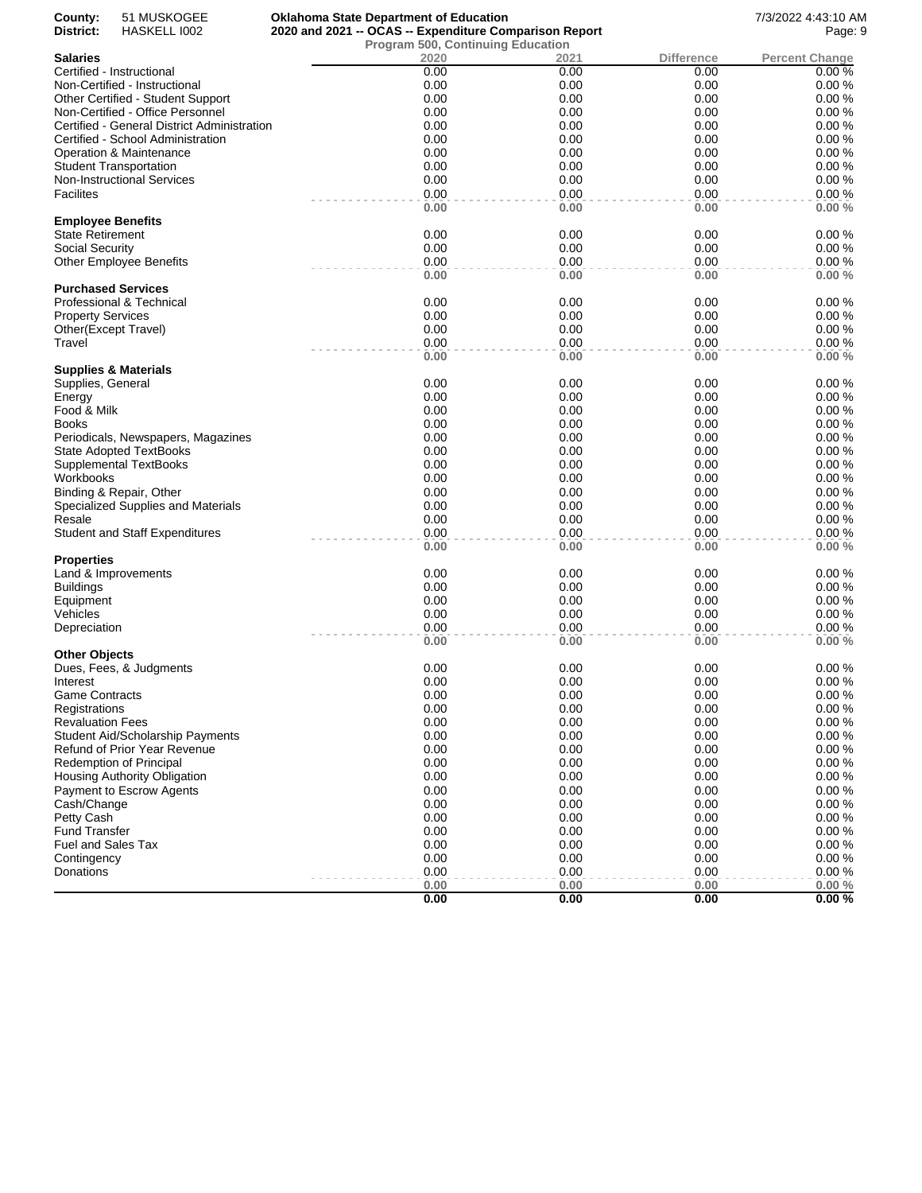| County:<br>District:     | 51 MUSKOGEE<br>HASKELL 1002                 | <b>Oklahoma State Department of Education</b><br>2020 and 2021 -- OCAS -- Expenditure Comparison Report |              |                   | 7/3/2022 4:43:10 AM<br>Page: 9 |
|--------------------------|---------------------------------------------|---------------------------------------------------------------------------------------------------------|--------------|-------------------|--------------------------------|
|                          |                                             | <b>Program 500, Continuing Education</b>                                                                |              |                   |                                |
| <b>Salaries</b>          |                                             | 2020                                                                                                    | 2021         | <b>Difference</b> | <b>Percent Change</b>          |
|                          | Certified - Instructional                   | 0.00                                                                                                    | 0.00         | 0.00              | 0.00%                          |
|                          | Non-Certified - Instructional               | 0.00                                                                                                    | 0.00         | 0.00              | 0.00%                          |
|                          | Other Certified - Student Support           | 0.00                                                                                                    | 0.00         | 0.00              | 0.00%                          |
|                          | Non-Certified - Office Personnel            | 0.00                                                                                                    | 0.00         | 0.00              | 0.00%                          |
|                          | Certified - General District Administration | 0.00                                                                                                    | 0.00         | 0.00              | 0.00%                          |
|                          | Certified - School Administration           | 0.00                                                                                                    | 0.00         | 0.00              | 0.00%                          |
|                          | Operation & Maintenance                     | 0.00                                                                                                    | 0.00         | 0.00              | 0.00%                          |
|                          | Student Transportation                      | 0.00                                                                                                    | 0.00         | 0.00              | 0.00%                          |
|                          | <b>Non-Instructional Services</b>           | 0.00                                                                                                    | 0.00         | 0.00              | 0.00%                          |
| <b>Facilites</b>         |                                             | 0.00                                                                                                    | 0.00         | 0.00              | 0.00%                          |
| <b>Employee Benefits</b> |                                             | 0.00                                                                                                    | 0.00         | 0.00              | 0.00%                          |
| State Retirement         |                                             | 0.00                                                                                                    | 0.00         | 0.00              | 0.00%                          |
| Social Security          |                                             | 0.00                                                                                                    | 0.00         | 0.00              | 0.00%                          |
|                          | <b>Other Employee Benefits</b>              | 0.00                                                                                                    | 0.00         | 0.00              | 0.00%                          |
|                          |                                             | 0.00                                                                                                    | 0.00         | 0.00              | 0.00%                          |
|                          | <b>Purchased Services</b>                   |                                                                                                         |              |                   |                                |
|                          | Professional & Technical                    | 0.00                                                                                                    | 0.00         | 0.00              | 0.00%                          |
| <b>Property Services</b> |                                             | 0.00                                                                                                    | 0.00         | 0.00              | 0.00%                          |
|                          | Other(Except Travel)                        | 0.00                                                                                                    | 0.00         | 0.00              | 0.00%                          |
| Travel                   |                                             | 0.00<br>0.00                                                                                            | 0.00<br>0.00 | 0.00<br>0.00      | 0.00%<br>0.00%                 |
|                          | <b>Supplies &amp; Materials</b>             |                                                                                                         |              |                   |                                |
| Supplies, General        |                                             | 0.00                                                                                                    | 0.00         | 0.00              | 0.00%                          |
| Energy                   |                                             | 0.00                                                                                                    | 0.00         | 0.00              | 0.00%                          |
| Food & Milk              |                                             | 0.00                                                                                                    | 0.00         | 0.00              | 0.00%                          |
| Books                    |                                             | 0.00                                                                                                    | 0.00         | 0.00              | 0.00%                          |
|                          | Periodicals, Newspapers, Magazines          | 0.00                                                                                                    | 0.00         | 0.00              | 0.00%                          |
|                          | State Adopted TextBooks                     | 0.00                                                                                                    | 0.00         | 0.00              | 0.00%                          |
|                          | Supplemental TextBooks                      | 0.00                                                                                                    | 0.00         | 0.00              | 0.00%                          |
| Workbooks                |                                             | 0.00                                                                                                    | 0.00         | 0.00              | 0.00%                          |
|                          | Binding & Repair, Other                     | 0.00                                                                                                    | 0.00         | 0.00              | 0.00%                          |
|                          | Specialized Supplies and Materials          | 0.00                                                                                                    | 0.00         | 0.00              | 0.00%                          |
| Resale                   |                                             | 0.00                                                                                                    | 0.00         | 0.00              | 0.00%                          |
|                          | <b>Student and Staff Expenditures</b>       | 0.00                                                                                                    | 0.00         | 0.00              | 0.00%                          |
| Properties               |                                             | 0.00                                                                                                    | 0.00         | 0.00              | 0.00%                          |
|                          | Land & Improvements                         | 0.00                                                                                                    | 0.00         | 0.00              | 0.00%                          |
|                          |                                             | 0.00                                                                                                    | 0.00         | 0.00              | 0.00%                          |
| <b>Buildings</b>         |                                             | 0.00                                                                                                    |              | 0.00              | 0.00%                          |
| Equipment<br>Vehicles    |                                             | 0.00                                                                                                    | 0.00<br>0.00 | 0.00              | 0.00%                          |
| Depreciation             |                                             | 0.00                                                                                                    | 0.00         | 0.00              | 0.00%                          |
|                          |                                             | 0.00                                                                                                    | 0.00         | 0.00              | 0.00%                          |
| <b>Other Objects</b>     |                                             |                                                                                                         |              |                   |                                |
|                          | Dues, Fees, & Judgments                     | 0.00                                                                                                    | 0.00         | 0.00              | 0.00%                          |
| Interest                 |                                             | 0.00                                                                                                    | 0.00         | 0.00              | 0.00%                          |
| Game Contracts           |                                             | 0.00                                                                                                    | 0.00         | 0.00              | 0.00%                          |
| Registrations            |                                             | 0.00                                                                                                    | 0.00         | 0.00              | 0.00%                          |
| <b>Revaluation Fees</b>  |                                             | 0.00                                                                                                    | 0.00         | 0.00              | 0.00%                          |
|                          | <b>Student Aid/Scholarship Payments</b>     | 0.00                                                                                                    | 0.00         | 0.00              | 0.00%                          |
|                          | <b>Refund of Prior Year Revenue</b>         | 0.00                                                                                                    | 0.00         | 0.00              | 0.00%                          |
|                          | <b>Redemption of Principal</b>              | 0.00                                                                                                    | 0.00         | 0.00              | 0.00%                          |
|                          | Housing Authority Obligation                | 0.00                                                                                                    | 0.00         | 0.00              | 0.00%                          |
|                          | Payment to Escrow Agents                    | 0.00                                                                                                    | 0.00         | 0.00              | 0.00%                          |
| Cash/Change              |                                             | 0.00                                                                                                    | 0.00         | 0.00              | 0.00%                          |
| Petty Cash               |                                             | 0.00                                                                                                    | 0.00         | 0.00              | 0.00%                          |
| <b>Fund Transfer</b>     |                                             | 0.00                                                                                                    | 0.00         | 0.00              | 0.00%                          |
| Fuel and Sales Tax       |                                             | 0.00                                                                                                    | 0.00         | 0.00              | 0.00%                          |
| Contingency              |                                             | 0.00                                                                                                    | 0.00         | 0.00              | 0.00%                          |
| Donations                |                                             | 0.00                                                                                                    | 0.00         | 0.00              | 0.00%                          |
|                          |                                             | 0.00                                                                                                    | 0.00         | 0.00              | 0.00%                          |
|                          |                                             | 0.00                                                                                                    | 0.00         | 0.00              | 0.00%                          |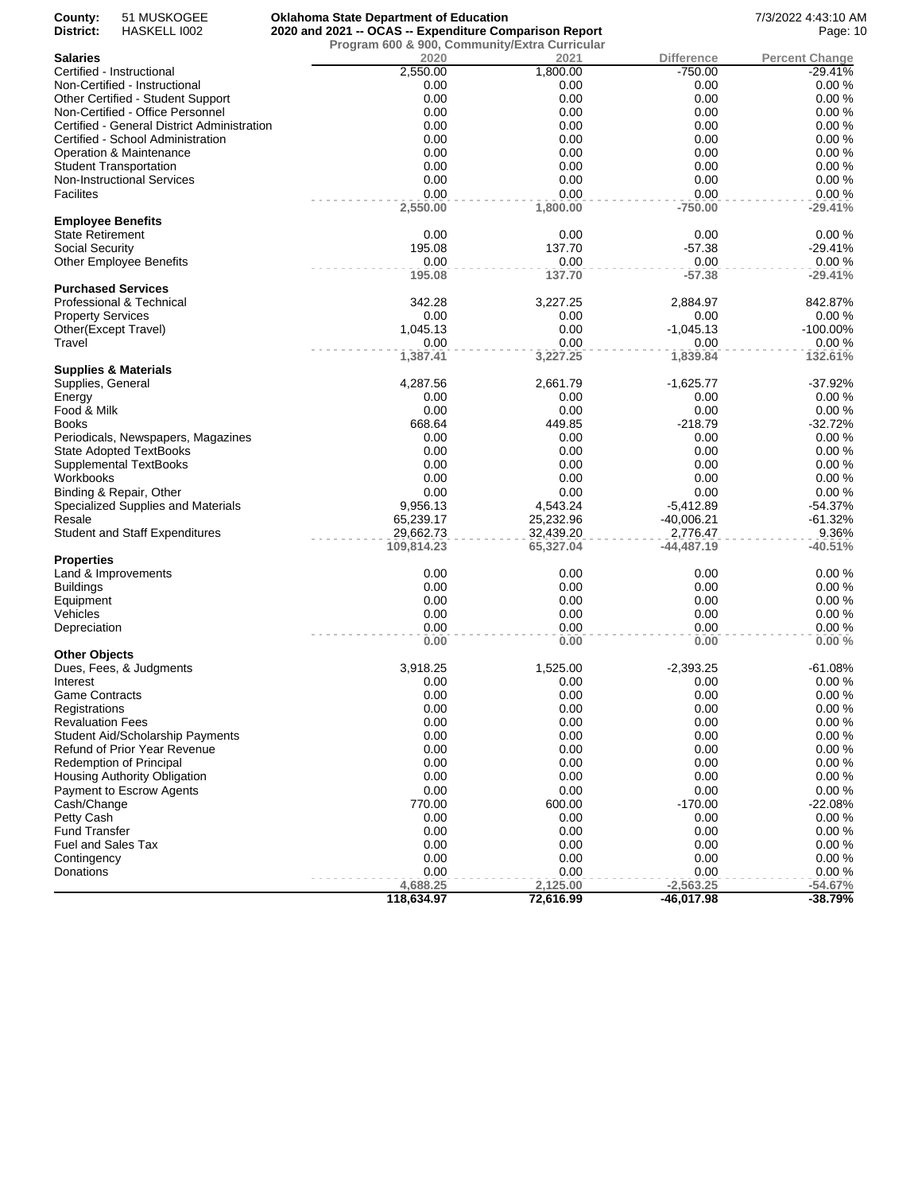| County:                                      | 51 MUSKOGEE                                 | <b>Oklahoma State Department of Education</b>          |                |                   | 7/3/2022 4:43:10 AM   |
|----------------------------------------------|---------------------------------------------|--------------------------------------------------------|----------------|-------------------|-----------------------|
| District:                                    | HASKELL 1002                                | 2020 and 2021 -- OCAS -- Expenditure Comparison Report | Page: 10       |                   |                       |
| Salaries                                     |                                             | Program 600 & 900, Community/Extra Curricular<br>2020  | 2021           | <b>Difference</b> | <b>Percent Change</b> |
|                                              | Certified - Instructional                   | 2,550.00                                               | 1,800.00       | $-750.00$         | $-29.41%$             |
|                                              | Non-Certified - Instructional               | 0.00                                                   | 0.00           | 0.00              | 0.00%                 |
|                                              | Other Certified - Student Support           | 0.00                                                   | 0.00           | 0.00              | 0.00%                 |
|                                              | Non-Certified - Office Personnel            | 0.00                                                   | 0.00           | 0.00              | 0.00%                 |
|                                              | Certified - General District Administration | 0.00                                                   | 0.00           | 0.00              | 0.00%                 |
|                                              | Certified - School Administration           | 0.00                                                   | 0.00           | 0.00              | 0.00%                 |
|                                              | Operation & Maintenance                     | 0.00                                                   | 0.00           | 0.00              | 0.00%                 |
|                                              | <b>Student Transportation</b>               | 0.00                                                   | 0.00           | 0.00              | 0.00%                 |
|                                              | Non-Instructional Services                  | 0.00                                                   | 0.00           | 0.00              | 0.00%                 |
| Facilites                                    |                                             | 0.00                                                   | 0.00           | 0.00              | 0.00%                 |
|                                              |                                             | 2,550.00                                               | 1,800.00       | $-750.00$         | $-29.41%$             |
| <b>Employee Benefits</b><br>State Retirement |                                             | 0.00                                                   |                |                   | 0.00%                 |
|                                              |                                             | 195.08                                                 | 0.00<br>137.70 | 0.00<br>$-57.38$  | $-29.41%$             |
| Social Security                              | <b>Other Employee Benefits</b>              | 0.00                                                   | 0.00           | 0.00              | 0.00%                 |
|                                              |                                             | 195.08                                                 | 137.70         | $-57.38$          | $-29.41%$             |
|                                              | <b>Purchased Services</b>                   |                                                        |                |                   |                       |
|                                              | Professional & Technical                    | 342.28                                                 | 3,227.25       | 2,884.97          | 842.87%               |
| <b>Property Services</b>                     |                                             | 0.00                                                   | 0.00           | 0.00              | 0.00%                 |
| Other(Except Travel)                         |                                             | 1,045.13                                               | 0.00           | $-1,045.13$       | -100.00%              |
| Travel                                       |                                             | 0.00                                                   | 0.00           | 0.00              | 0.00%                 |
|                                              |                                             | 1,387.41                                               | 3,227.25       | 1,839.84          | 132.61%               |
|                                              | Supplies & Materials                        |                                                        |                |                   |                       |
| Supplies, General                            |                                             | 4,287.56                                               | 2,661.79       | $-1,625.77$       | $-37.92%$             |
| Energy                                       |                                             | 0.00                                                   | 0.00           | 0.00              | 0.00%                 |
| Food & Milk                                  |                                             | 0.00<br>668.64                                         | 0.00           | 0.00              | 0.00%<br>$-32.72%$    |
| Books                                        | Periodicals, Newspapers, Magazines          | 0.00                                                   | 449.85<br>0.00 | $-218.79$<br>0.00 | 0.00%                 |
|                                              | State Adopted TextBooks                     | 0.00                                                   | 0.00           | 0.00              | 0.00%                 |
|                                              | Supplemental TextBooks                      | 0.00                                                   | 0.00           | 0.00              | 0.00%                 |
| Workbooks                                    |                                             | 0.00                                                   | 0.00           | 0.00              | 0.00%                 |
|                                              | Binding & Repair, Other                     | 0.00                                                   | 0.00           | 0.00              | 0.00%                 |
|                                              | Specialized Supplies and Materials          | 9,956.13                                               | 4,543.24       | $-5,412.89$       | $-54.37%$             |
| Resale                                       |                                             | 65,239.17                                              | 25,232.96      | $-40,006.21$      | $-61.32%$             |
|                                              | <b>Student and Staff Expenditures</b>       | 29,662.73                                              | 32,439.20      | 2,776.47          | 9.36%                 |
|                                              |                                             | 109,814.23                                             | 65,327.04      | -44,487.19        | $-40.51%$             |
| Properties                                   |                                             |                                                        |                |                   |                       |
|                                              | Land & Improvements                         | 0.00                                                   | 0.00           | 0.00              | 0.00%                 |
| <b>Buildings</b>                             |                                             | 0.00                                                   | 0.00           | 0.00              | 0.00%                 |
| Equipment                                    |                                             | 0.00                                                   | 0.00           | 0.00              | 0.00%                 |
| Vehicles                                     |                                             | 0.00                                                   | 0.00           | 0.00              | 0.00%                 |
| Depreciation                                 |                                             | 0.00                                                   | 0.00           | 0.00              | 0.00%                 |
| Other Objects                                |                                             | 0.00                                                   | 0.00           | 0.00              | 0.00%                 |
|                                              | Dues, Fees, & Judgments                     | 3,918.25                                               | 1,525.00       | $-2,393.25$       | -61.08%               |
| Interest                                     |                                             | 0.00                                                   | 0.00           | 0.00              | 0.00%                 |
| Game Contracts                               |                                             | 0.00                                                   | 0.00           | 0.00              | 0.00%                 |
| Registrations                                |                                             | 0.00                                                   | 0.00           | 0.00              | 0.00%                 |
| <b>Revaluation Fees</b>                      |                                             | 0.00                                                   | 0.00           | 0.00              | 0.00%                 |
|                                              | <b>Student Aid/Scholarship Payments</b>     | 0.00                                                   | 0.00           | 0.00              | 0.00%                 |
|                                              | Refund of Prior Year Revenue                | 0.00                                                   | 0.00           | 0.00              | 0.00%                 |
|                                              | <b>Redemption of Principal</b>              | 0.00                                                   | 0.00           | 0.00              | 0.00%                 |
|                                              | <b>Housing Authority Obligation</b>         | 0.00                                                   | 0.00           | 0.00              | 0.00%                 |
|                                              | Payment to Escrow Agents                    | 0.00                                                   | 0.00           | 0.00              | 0.00%                 |
| Cash/Change                                  |                                             | 770.00                                                 | 600.00         | $-170.00$         | $-22.08%$             |
| Petty Cash                                   |                                             | 0.00                                                   | 0.00           | 0.00              | 0.00%                 |
| <b>Fund Transfer</b>                         |                                             | 0.00                                                   | 0.00           | 0.00              | 0.00%                 |
| Fuel and Sales Tax                           |                                             | 0.00                                                   | 0.00           | 0.00              | 0.00%                 |
| Contingency                                  |                                             | 0.00                                                   | 0.00           | 0.00              | 0.00%                 |
| Donations                                    |                                             | 0.00                                                   | 0.00           | 0.00              | 0.00%                 |
|                                              |                                             | 4,688.25                                               | 2,125.00       | $-2,563.25$       | $-54.67%$             |
|                                              |                                             | 118,634.97                                             | 72,616.99      | -46,017.98        | $-38.79%$             |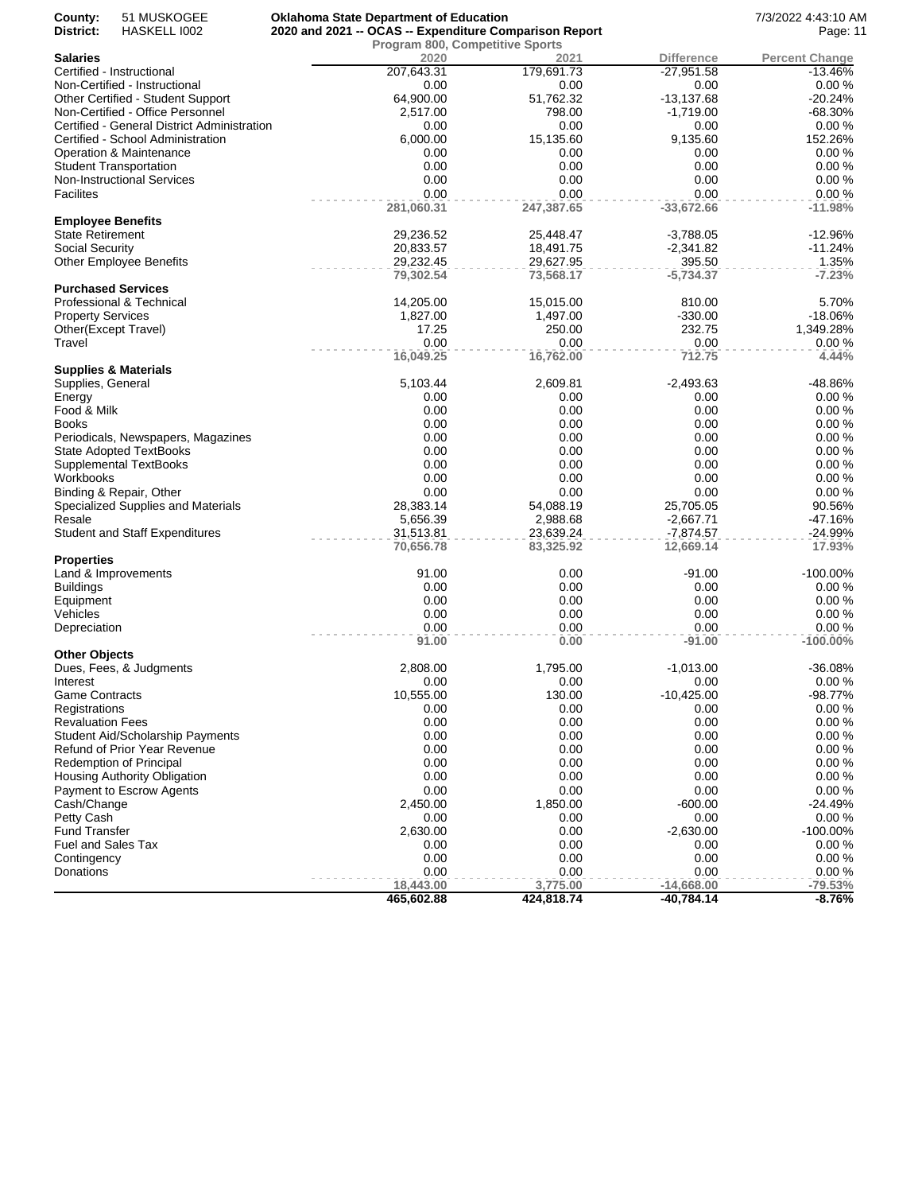| County:<br>District:      | 51 MUSKOGEE<br>HASKELL 1002                 | <b>Oklahoma State Department of Education</b><br>2020 and 2021 -- OCAS -- Expenditure Comparison Report | 7/3/2022 4:43:10 AM<br>Page: 11        |                   |                       |
|---------------------------|---------------------------------------------|---------------------------------------------------------------------------------------------------------|----------------------------------------|-------------------|-----------------------|
|                           |                                             |                                                                                                         | <b>Program 800, Competitive Sports</b> |                   |                       |
| <b>Salaries</b>           |                                             | 2020                                                                                                    | 2021                                   | <b>Difference</b> | <b>Percent Change</b> |
|                           | Certified - Instructional                   | 207,643.31                                                                                              | 179,691.73                             | $-27,951.58$      | $-13.46%$             |
|                           | Non-Certified - Instructional               | 0.00                                                                                                    | 0.00                                   | 0.00              | 0.00%                 |
|                           | Other Certified - Student Support           | 64,900.00                                                                                               | 51,762.32                              | $-13,137.68$      | $-20.24%$             |
|                           | Non-Certified - Office Personnel            | 2,517.00                                                                                                | 798.00                                 | $-1,719.00$       | $-68.30%$             |
|                           | Certified - General District Administration | 0.00                                                                                                    | 0.00                                   | 0.00              | 0.00%                 |
|                           | Certified - School Administration           | 6,000.00                                                                                                | 15,135.60                              | 9,135.60          | 152.26%               |
|                           | Operation & Maintenance                     | 0.00                                                                                                    | 0.00                                   | 0.00              | 0.00%                 |
|                           | <b>Student Transportation</b>               | 0.00                                                                                                    | 0.00                                   | 0.00              | 0.00%                 |
|                           | <b>Non-Instructional Services</b>           | 0.00                                                                                                    | 0.00                                   | 0.00              | 0.00%                 |
| <b>Facilites</b>          |                                             | 0.00                                                                                                    | 0.00                                   | 0.00              | 0.00%                 |
| <b>Employee Benefits</b>  |                                             | 281,060.31                                                                                              | 247,387.65                             | $-33,672.66$      | $-11.98%$             |
| <b>State Retirement</b>   |                                             | 29,236.52                                                                                               | 25,448.47                              | $-3,788.05$       | $-12.96%$             |
| Social Security           |                                             | 20,833.57                                                                                               | 18,491.75                              | $-2,341.82$       | $-11.24%$             |
|                           | <b>Other Employee Benefits</b>              | 29,232.45                                                                                               | 29,627.95                              | 395.50            | 1.35%                 |
|                           |                                             | 79,302.54                                                                                               | 73,568.17                              | $-5,734.37$       | $-7.23%$              |
|                           | <b>Purchased Services</b>                   |                                                                                                         |                                        |                   |                       |
|                           | Professional & Technical                    | 14,205.00                                                                                               | 15,015.00                              | 810.00            | 5.70%                 |
| <b>Property Services</b>  |                                             | 1,827.00                                                                                                | 1,497.00                               | $-330.00$         | $-18.06%$             |
|                           | Other(Except Travel)                        | 17.25                                                                                                   | 250.00                                 | 232.75            | 1,349.28%             |
| Travel                    |                                             | 0.00                                                                                                    | 0.00                                   | 0.00              | 0.00%                 |
|                           |                                             | 16,049.25                                                                                               | 16,762.00                              | 712.75            | 4.44%                 |
|                           | <b>Supplies &amp; Materials</b>             |                                                                                                         |                                        |                   |                       |
| Supplies, General         |                                             | 5,103.44                                                                                                | 2,609.81                               | $-2,493.63$       | -48.86%               |
| Energy                    |                                             | 0.00                                                                                                    | 0.00                                   | 0.00              | 0.00%                 |
| Food & Milk               |                                             | 0.00                                                                                                    | 0.00                                   | 0.00              | 0.00%                 |
| <b>Books</b>              |                                             | 0.00                                                                                                    | 0.00                                   | 0.00              | 0.00%                 |
|                           | Periodicals, Newspapers, Magazines          | 0.00                                                                                                    | 0.00                                   | 0.00              | 0.00%                 |
|                           | State Adopted TextBooks                     | 0.00                                                                                                    | 0.00                                   | 0.00              | 0.00%                 |
|                           | <b>Supplemental TextBooks</b>               | 0.00                                                                                                    | 0.00                                   | 0.00              | 0.00%                 |
| Workbooks                 |                                             | 0.00                                                                                                    | 0.00                                   | 0.00              | 0.00%                 |
|                           | Binding & Repair, Other                     | 0.00                                                                                                    | 0.00                                   | 0.00              | 0.00%                 |
|                           | Specialized Supplies and Materials          | 28,383.14                                                                                               | 54,088.19                              | 25,705.05         | 90.56%                |
| Resale                    |                                             | 5,656.39                                                                                                | 2,988.68                               | $-2,667.71$       | $-47.16%$             |
|                           | <b>Student and Staff Expenditures</b>       | 31,513.81                                                                                               | 23,639.24                              | $-7,874.57$       | $-24.99%$             |
|                           |                                             | 70,656.78                                                                                               | 83,325.92                              | 12,669.14         | 17.93%                |
| <b>Properties</b>         |                                             |                                                                                                         |                                        |                   |                       |
|                           | Land & Improvements                         | 91.00                                                                                                   | 0.00                                   | -91.00            | $-100.00\%$           |
| <b>Buildings</b>          |                                             | 0.00<br>0.00                                                                                            | 0.00<br>0.00                           | 0.00<br>0.00      | 0.00%<br>0.00%        |
| Equipment<br>Vehicles     |                                             | 0.00                                                                                                    | 0.00                                   | 0.00              | 0.00%                 |
| Depreciation              |                                             | 0.00                                                                                                    | 0.00                                   | 0.00              | 0.00%                 |
|                           |                                             | 91.00                                                                                                   | 0.00                                   | $-91.00$          | $-100.00\%$           |
| <b>Other Objects</b>      |                                             |                                                                                                         |                                        |                   |                       |
|                           | Dues, Fees, & Judgments                     | 2,808.00                                                                                                | 1,795.00                               | $-1,013.00$       | $-36.08%$             |
| Interest                  |                                             | 0.00                                                                                                    | 0.00                                   | 0.00              | 0.00%                 |
| <b>Game Contracts</b>     |                                             | 10,555.00                                                                                               | 130.00                                 | $-10,425.00$      | -98.77%               |
| Registrations             |                                             | 0.00                                                                                                    | 0.00                                   | 0.00              | 0.00%                 |
| <b>Revaluation Fees</b>   |                                             | 0.00                                                                                                    | 0.00                                   | 0.00              | 0.00%                 |
|                           | <b>Student Aid/Scholarship Payments</b>     | 0.00                                                                                                    | 0.00                                   | 0.00              | 0.00%                 |
|                           | <b>Refund of Prior Year Revenue</b>         | 0.00                                                                                                    | 0.00                                   | 0.00              | 0.00%                 |
|                           | Redemption of Principal                     | 0.00                                                                                                    | 0.00                                   | 0.00              | 0.00%                 |
|                           | <b>Housing Authority Obligation</b>         | 0.00                                                                                                    | 0.00                                   | 0.00              | 0.00%                 |
|                           | Payment to Escrow Agents                    | 0.00                                                                                                    | 0.00                                   | 0.00              | 0.00%                 |
| Cash/Change               |                                             | 2,450.00                                                                                                | 1,850.00                               | $-600.00$         | $-24.49%$             |
| Petty Cash                |                                             | 0.00                                                                                                    | 0.00                                   | 0.00              | 0.00%                 |
| <b>Fund Transfer</b>      |                                             | 2,630.00                                                                                                | 0.00                                   | $-2,630.00$       | $-100.00\%$           |
| <b>Fuel and Sales Tax</b> |                                             | 0.00                                                                                                    | 0.00                                   | 0.00              | 0.00%                 |
| Contingency               |                                             | 0.00                                                                                                    | 0.00                                   | 0.00              | 0.00%                 |
| Donations                 |                                             | 0.00                                                                                                    | 0.00                                   | 0.00              | 0.00%                 |
|                           |                                             | 18,443.00                                                                                               | 3,775.00                               | $-14,668.00$      | $-79.53%$             |
|                           |                                             | 465,602.88                                                                                              | 424,818.74                             | $-40,784.14$      | $-8.76%$              |